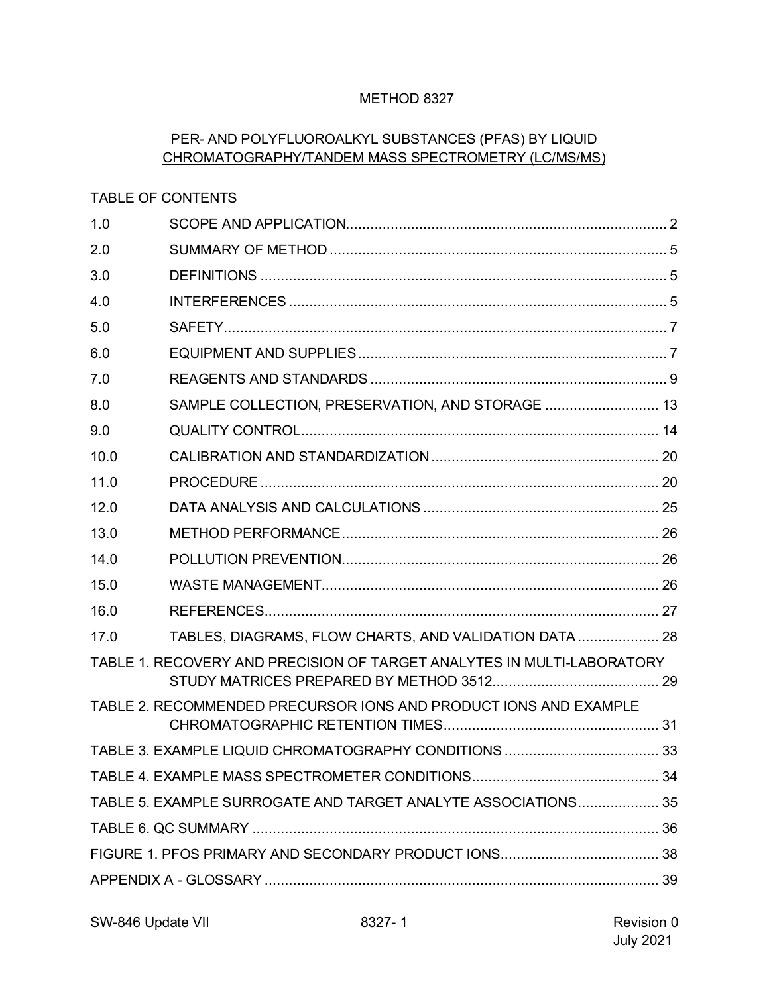## METHOD 8327

## PER- AND POLYFLUOROALKYL SUBSTANCES (PFAS) BY LIQUID CHROMATOGRAPHY/TANDEM MASS SPECTROMETRY (LC/MS/MS)

### TABLE OF CONTENTS

| 1.0                                                           |                                                                        |  |  |  |  |  |
|---------------------------------------------------------------|------------------------------------------------------------------------|--|--|--|--|--|
| 2.0                                                           |                                                                        |  |  |  |  |  |
| 3.0                                                           |                                                                        |  |  |  |  |  |
| 4.0                                                           |                                                                        |  |  |  |  |  |
| 5.0                                                           |                                                                        |  |  |  |  |  |
| 6.0                                                           |                                                                        |  |  |  |  |  |
| 7.0                                                           |                                                                        |  |  |  |  |  |
| 8.0                                                           | SAMPLE COLLECTION, PRESERVATION, AND STORAGE  13                       |  |  |  |  |  |
| 9.0                                                           |                                                                        |  |  |  |  |  |
| 10.0                                                          |                                                                        |  |  |  |  |  |
| 11.0                                                          |                                                                        |  |  |  |  |  |
| 12.0                                                          |                                                                        |  |  |  |  |  |
| 13.0                                                          |                                                                        |  |  |  |  |  |
| 14.0                                                          |                                                                        |  |  |  |  |  |
| 15.0                                                          |                                                                        |  |  |  |  |  |
| 16.0                                                          |                                                                        |  |  |  |  |  |
| 17.0                                                          | TABLES, DIAGRAMS, FLOW CHARTS, AND VALIDATION DATA 28                  |  |  |  |  |  |
|                                                               | TABLE 1. RECOVERY AND PRECISION OF TARGET ANALYTES IN MULTI-LABORATORY |  |  |  |  |  |
|                                                               | TABLE 2. RECOMMENDED PRECURSOR IONS AND PRODUCT IONS AND EXAMPLE       |  |  |  |  |  |
|                                                               |                                                                        |  |  |  |  |  |
|                                                               |                                                                        |  |  |  |  |  |
| TABLE 5. EXAMPLE SURROGATE AND TARGET ANALYTE ASSOCIATIONS 35 |                                                                        |  |  |  |  |  |
|                                                               |                                                                        |  |  |  |  |  |
|                                                               |                                                                        |  |  |  |  |  |
|                                                               |                                                                        |  |  |  |  |  |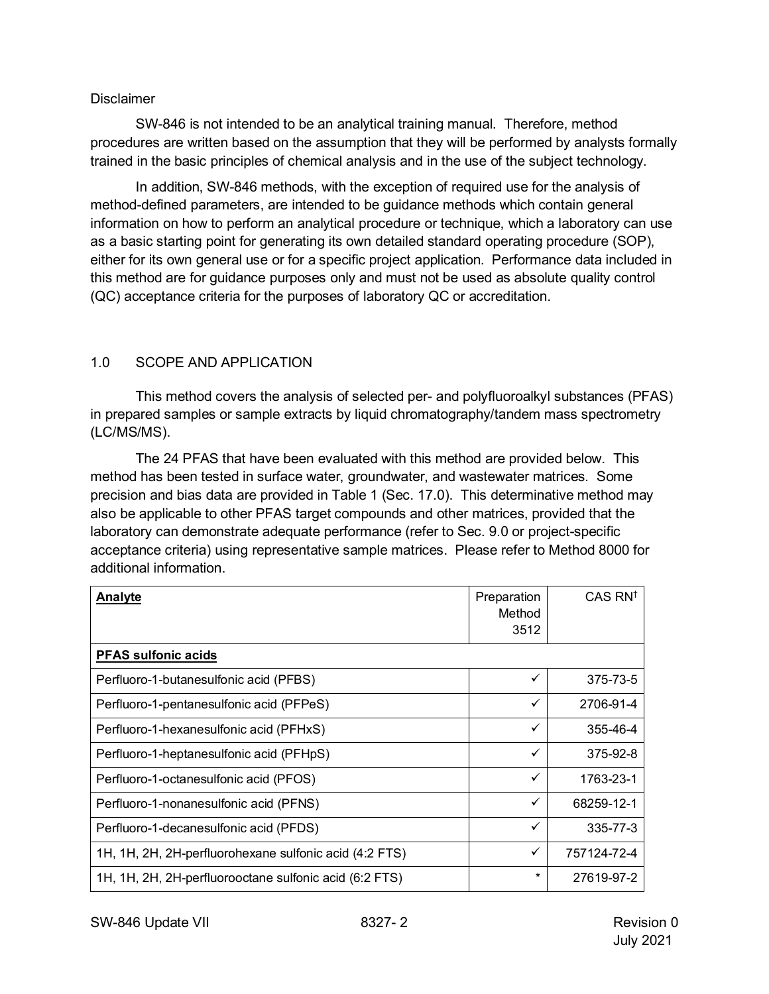#### **Disclaimer**

SW-846 is not intended to be an analytical training manual. Therefore, method procedures are written based on the assumption that they will be performed by analysts formally trained in the basic principles of chemical analysis and in the use of the subject technology.

In addition, SW-846 methods, with the exception of required use for the analysis of method-defined parameters, are intended to be guidance methods which contain general information on how to perform an analytical procedure or technique, which a laboratory can use as a basic starting point for generating its own detailed standard operating procedure (SOP), either for its own general use or for a specific project application. Performance data included in this method are for guidance purposes only and must not be used as absolute quality control (QC) acceptance criteria for the purposes of laboratory QC or accreditation.

## <span id="page-1-0"></span>1.0 SCOPE AND APPLICATION

This method covers the analysis of selected per- and polyfluoroalkyl substances (PFAS) in prepared samples or sample extracts by liquid chromatography/tandem mass spectrometry (LC/MS/MS).

The 24 PFAS that have been evaluated with this method are provided below. This method has been tested in surface water, groundwater, and wastewater matrices. Some precision and bias data are provided in Table 1 (Sec. 17.0). This determinative method may also be applicable to other PFAS target compounds and other matrices, provided that the laboratory can demonstrate adequate performance (refer to Sec. 9.0 or project-specific acceptance criteria) using representative sample matrices. Please refer to Method 8000 for additional information.

| Analyte                                                | Preparation<br>Method<br>3512 | CAS RN <sup>t</sup> |
|--------------------------------------------------------|-------------------------------|---------------------|
| <b>PFAS sulfonic acids</b>                             |                               |                     |
| Perfluoro-1-butanesulfonic acid (PFBS)                 | ✓                             | 375-73-5            |
| Perfluoro-1-pentanesulfonic acid (PFPeS)               | ✓                             | 2706-91-4           |
| Perfluoro-1-hexanesulfonic acid (PFHxS)                | ✓                             | 355-46-4            |
| Perfluoro-1-heptanesulfonic acid (PFHpS)               | ✓                             | 375-92-8            |
| Perfluoro-1-octanesulfonic acid (PFOS)                 | ✓                             | 1763-23-1           |
| Perfluoro-1-nonanesulfonic acid (PFNS)                 | ✓                             | 68259-12-1          |
| Perfluoro-1-decanesulfonic acid (PFDS)                 | ✓                             | 335-77-3            |
| 1H, 1H, 2H, 2H-perfluorohexane sulfonic acid (4:2 FTS) | ✓                             | 757124-72-4         |
| 1H, 1H, 2H, 2H-perfluorooctane sulfonic acid (6:2 FTS) | $\star$                       | 27619-97-2          |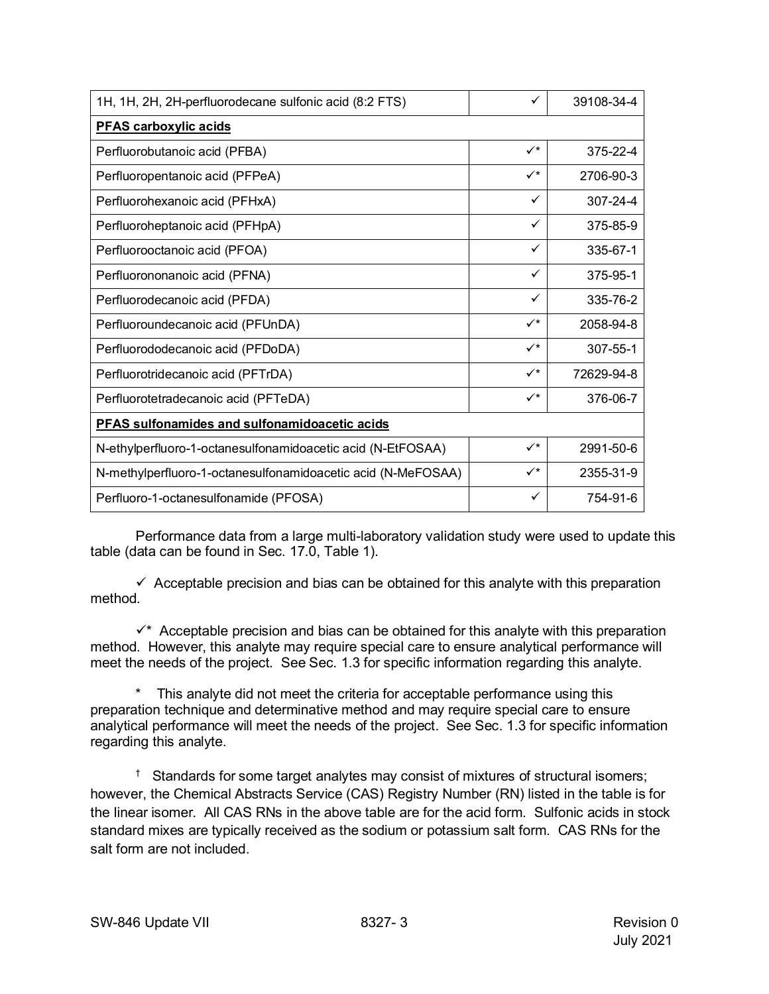| 1H, 1H, 2H, 2H-perfluorodecane sulfonic acid (8:2 FTS)       | ✓              | 39108-34-4 |  |  |  |
|--------------------------------------------------------------|----------------|------------|--|--|--|
| <b>PFAS carboxylic acids</b>                                 |                |            |  |  |  |
| Perfluorobutanoic acid (PFBA)                                | $\checkmark^*$ | 375-22-4   |  |  |  |
| Perfluoropentanoic acid (PFPeA)                              | $\checkmark^*$ | 2706-90-3  |  |  |  |
| Perfluorohexanoic acid (PFHxA)                               | ✓              | 307-24-4   |  |  |  |
| Perfluoroheptanoic acid (PFHpA)                              | ✓              | 375-85-9   |  |  |  |
| Perfluorooctanoic acid (PFOA)                                | ✓              | 335-67-1   |  |  |  |
| Perfluorononanoic acid (PFNA)                                | ✓              | 375-95-1   |  |  |  |
| Perfluorodecanoic acid (PFDA)                                | ✓              | 335-76-2   |  |  |  |
| Perfluoroundecanoic acid (PFUnDA)                            | $\checkmark^*$ | 2058-94-8  |  |  |  |
| Perfluorododecanoic acid (PFDoDA)                            | $\checkmark$   | 307-55-1   |  |  |  |
| Perfluorotridecanoic acid (PFTrDA)                           | $\checkmark^*$ | 72629-94-8 |  |  |  |
| Perfluorotetradecanoic acid (PFTeDA)                         | $\checkmark^*$ | 376-06-7   |  |  |  |
| PFAS sulfonamides and sulfonamidoacetic acids                |                |            |  |  |  |
| N-ethylperfluoro-1-octanesulfonamidoacetic acid (N-EtFOSAA)  | $\checkmark^*$ | 2991-50-6  |  |  |  |
| N-methylperfluoro-1-octanesulfonamidoacetic acid (N-MeFOSAA) | $\checkmark^*$ | 2355-31-9  |  |  |  |
| Perfluoro-1-octanesulfonamide (PFOSA)                        | ✓              | 754-91-6   |  |  |  |

Performance data from a large multi-laboratory validation study were used to update this table (data can be found in Sec. 17.0, Table 1).

 $\checkmark$  Acceptable precision and bias can be obtained for this analyte with this preparation method.

 $\checkmark$  Acceptable precision and bias can be obtained for this analyte with this preparation method. However, this analyte may require special care to ensure analytical performance will meet the needs of the project. See Sec. 1.3 for specific information regarding this analyte.

\* This analyte did not meet the criteria for acceptable performance using this preparation technique and determinative method and may require special care to ensure analytical performance will meet the needs of the project. See Sec. 1.3 for specific information regarding this analyte.

† Standards for some target analytes may consist of mixtures of structural isomers; however, the Chemical Abstracts Service (CAS) Registry Number (RN) listed in the table is for the linear isomer. All CAS RNs in the above table are for the acid form. Sulfonic acids in stock standard mixes are typically received as the sodium or potassium salt form. CAS RNs for the salt form are not included.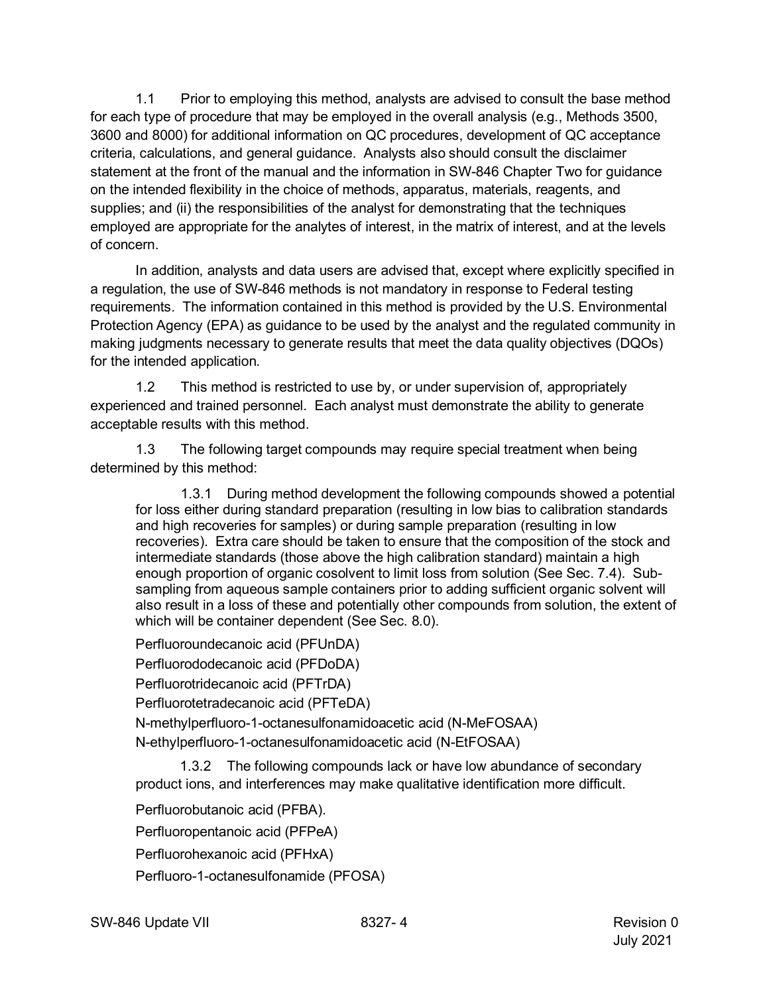1.1 Prior to employing this method, analysts are advised to consult the base method for each type of procedure that may be employed in the overall analysis (e.g., Methods 3500, 3600 and 8000) for additional information on QC procedures, development of QC acceptance criteria, calculations, and general guidance. Analysts also should consult the disclaimer statement at the front of the manual and the information in SW-846 Chapter Two for guidance on the intended flexibility in the choice of methods, apparatus, materials, reagents, and supplies; and (ii) the responsibilities of the analyst for demonstrating that the techniques employed are appropriate for the analytes of interest, in the matrix of interest, and at the levels of concern.

In addition, analysts and data users are advised that, except where explicitly specified in a regulation, the use of SW-846 methods is not mandatory in response to Federal testing requirements. The information contained in this method is provided by the U.S. Environmental Protection Agency (EPA) as guidance to be used by the analyst and the regulated community in making judgments necessary to generate results that meet the data quality objectives (DQOs) for the intended application.

1.2 This method is restricted to use by, or under supervision of, appropriately experienced and trained personnel. Each analyst must demonstrate the ability to generate acceptable results with this method.

1.3 The following target compounds may require special treatment when being determined by this method:

1.3.1 During method development the following compounds showed a potential for loss either during standard preparation (resulting in low bias to calibration standards and high recoveries for samples) or during sample preparation (resulting in low recoveries). Extra care should be taken to ensure that the composition of the stock and intermediate standards (those above the high calibration standard) maintain a high enough proportion of organic cosolvent to limit loss from solution (See Sec. 7.4). Subsampling from aqueous sample containers prior to adding sufficient organic solvent will also result in a loss of these and potentially other compounds from solution, the extent of which will be container dependent (See Sec. 8.0).

Perfluoroundecanoic acid (PFUnDA) Perfluorododecanoic acid (PFDoDA) Perfluorotridecanoic acid (PFTrDA) Perfluorotetradecanoic acid (PFTeDA) N-methylperfluoro-1-octanesulfonamidoacetic acid (N-MeFOSAA) N-ethylperfluoro-1-octanesulfonamidoacetic acid (N-EtFOSAA)

1.3.2 The following compounds lack or have low abundance of secondary product ions, and interferences may make qualitative identification more difficult.

Perfluorobutanoic acid (PFBA).

Perfluoropentanoic acid (PFPeA)

Perfluorohexanoic acid (PFHxA)

Perfluoro-1-octanesulfonamide (PFOSA)

SW-846 Update VII 8327- 4 Revision 0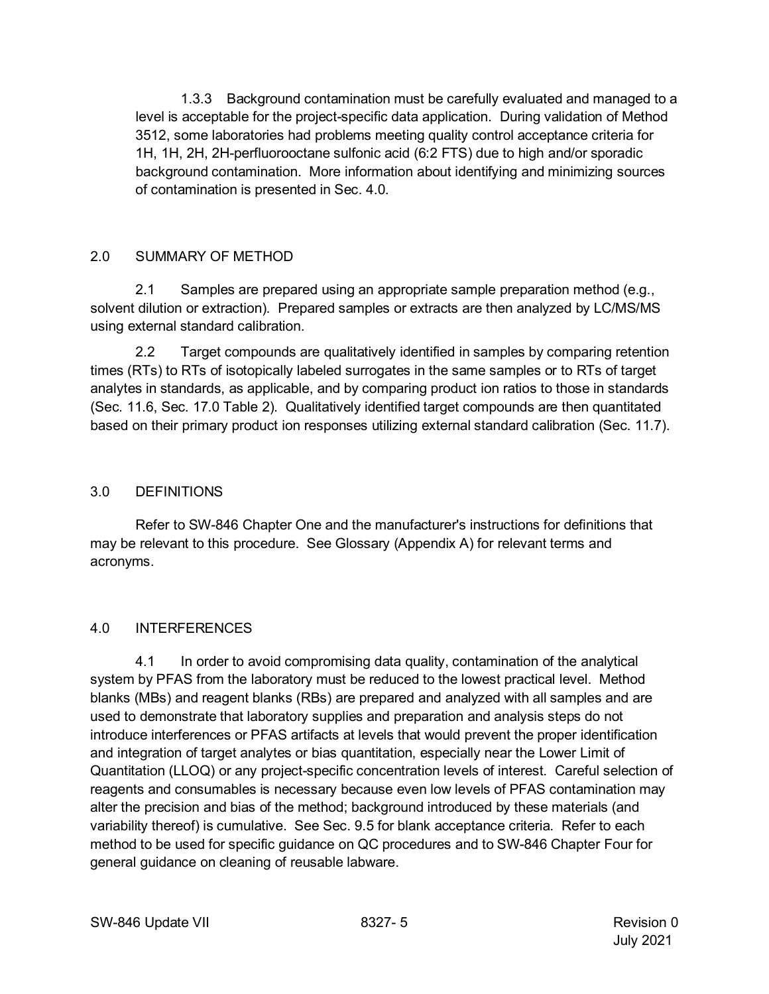1.3.3 Background contamination must be carefully evaluated and managed to a level is acceptable for the project-specific data application. During validation of Method 3512, some laboratories had problems meeting quality control acceptance criteria for 1H, 1H, 2H, 2H-perfluorooctane sulfonic acid (6:2 FTS) due to high and/or sporadic background contamination. More information about identifying and minimizing sources of contamination is presented in Sec. 4.0.

## <span id="page-4-0"></span>2.0 SUMMARY OF METHOD

2.1 Samples are prepared using an appropriate sample preparation method (e.g., solvent dilution or extraction). Prepared samples or extracts are then analyzed by LC/MS/MS using external standard calibration.

2.2 Target compounds are qualitatively identified in samples by comparing retention times (RTs) to RTs of isotopically labeled surrogates in the same samples or to RTs of target analytes in standards, as applicable, and by comparing product ion ratios to those in standards (Sec. 11.6, Sec. 17.0 Table 2). Qualitatively identified target compounds are then quantitated based on their primary product ion responses utilizing external standard calibration (Sec. 11.7).

## <span id="page-4-1"></span>3.0 DEFINITIONS

Refer to SW-846 Chapter One and the manufacturer's instructions for definitions that may be relevant to this procedure. See Glossary (Appendix A) for relevant terms and acronyms.

# <span id="page-4-2"></span>4.0 INTERFERENCES

4.1 In order to avoid compromising data quality, contamination of the analytical system by PFAS from the laboratory must be reduced to the lowest practical level. Method blanks (MBs) and reagent blanks (RBs) are prepared and analyzed with all samples and are used to demonstrate that laboratory supplies and preparation and analysis steps do not introduce interferences or PFAS artifacts at levels that would prevent the proper identification and integration of target analytes or bias quantitation, especially near the Lower Limit of Quantitation (LLOQ) or any project-specific concentration levels of interest. Careful selection of reagents and consumables is necessary because even low levels of PFAS contamination may alter the precision and bias of the method; background introduced by these materials (and variability thereof) is cumulative. See Sec. 9.5 for blank acceptance criteria. Refer to each method to be used for specific guidance on QC procedures and to SW-846 Chapter Four for general guidance on cleaning of reusable labware.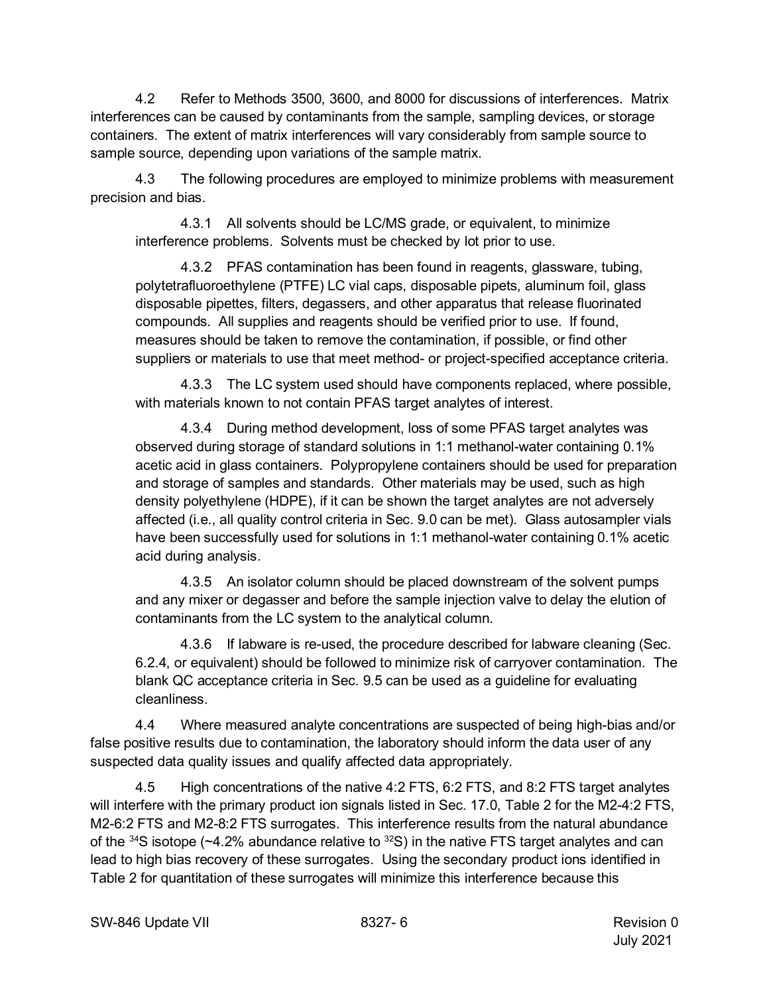4.2 Refer to Methods 3500, 3600, and 8000 for discussions of interferences. Matrix interferences can be caused by contaminants from the sample, sampling devices, or storage containers. The extent of matrix interferences will vary considerably from sample source to sample source, depending upon variations of the sample matrix.

4.3 The following procedures are employed to minimize problems with measurement precision and bias.

4.3.1 All solvents should be LC/MS grade, or equivalent, to minimize interference problems. Solvents must be checked by lot prior to use.

4.3.2 PFAS contamination has been found in reagents, glassware, tubing, polytetrafluoroethylene (PTFE) LC vial caps, disposable pipets, aluminum foil, glass disposable pipettes, filters, degassers, and other apparatus that release fluorinated compounds. All supplies and reagents should be verified prior to use. If found, measures should be taken to remove the contamination, if possible, or find other suppliers or materials to use that meet method- or project-specified acceptance criteria.

4.3.3 The LC system used should have components replaced, where possible, with materials known to not contain PFAS target analytes of interest.

4.3.4 During method development, loss of some PFAS target analytes was observed during storage of standard solutions in 1:1 methanol-water containing 0.1% acetic acid in glass containers. Polypropylene containers should be used for preparation and storage of samples and standards. Other materials may be used, such as high density polyethylene (HDPE), if it can be shown the target analytes are not adversely affected (i.e., all quality control criteria in Sec. 9.0 can be met). Glass autosampler vials have been successfully used for solutions in 1:1 methanol-water containing 0.1% acetic acid during analysis.

4.3.5 An isolator column should be placed downstream of the solvent pumps and any mixer or degasser and before the sample injection valve to delay the elution of contaminants from the LC system to the analytical column.

4.3.6 If labware is re-used, the procedure described for labware cleaning (Sec. 6.2.4, or equivalent) should be followed to minimize risk of carryover contamination. The blank QC acceptance criteria in Sec. 9.5 can be used as a guideline for evaluating cleanliness.

4.4 Where measured analyte concentrations are suspected of being high-bias and/or false positive results due to contamination, the laboratory should inform the data user of any suspected data quality issues and qualify affected data appropriately.

4.5 High concentrations of the native 4:2 FTS, 6:2 FTS, and 8:2 FTS target analytes will interfere with the primary product ion signals listed in Sec. 17.0, Table 2 for the M2-4:2 FTS, M2-6:2 FTS and M2-8:2 FTS surrogates. This interference results from the natural abundance of the  $34$ S isotope (~4.2% abundance relative to  $32$ S) in the native FTS target analytes and can lead to high bias recovery of these surrogates. Using the secondary product ions identified in Table 2 for quantitation of these surrogates will minimize this interference because this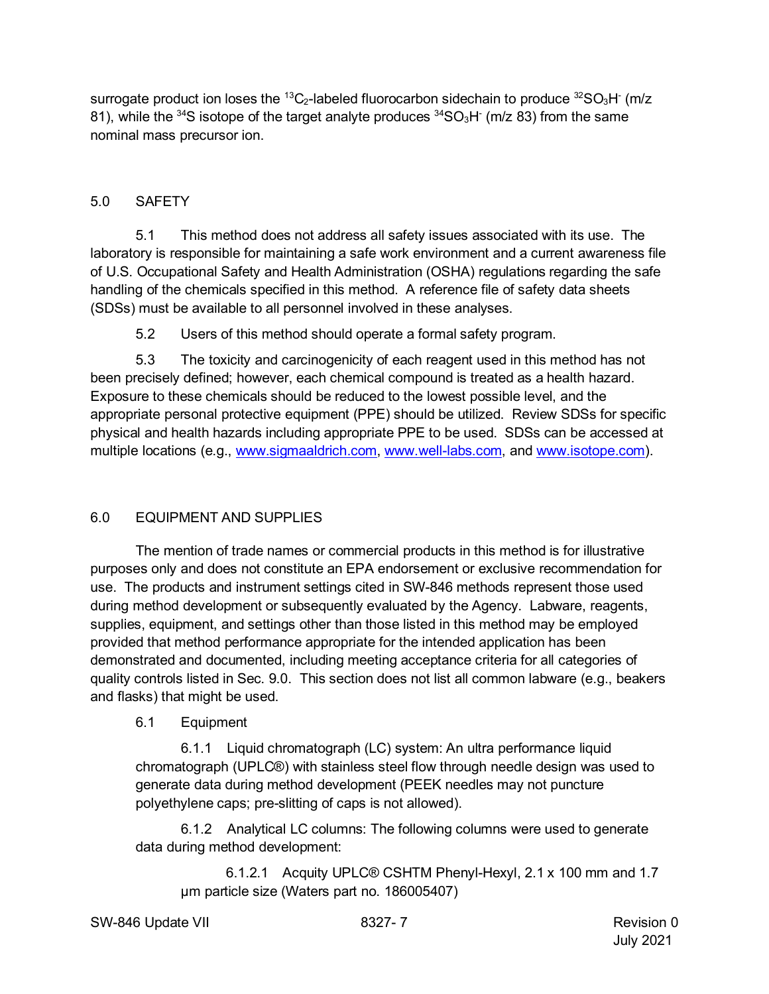surrogate product ion loses the <sup>13</sup>C<sub>2</sub>-labeled fluorocarbon sidechain to produce <sup>32</sup>SO<sub>3</sub>H (m/z) 81), while the <sup>34</sup>S isotope of the target analyte produces  $34SO_3H$  (m/z 83) from the same nominal mass precursor ion.

## <span id="page-6-0"></span>5.0 SAFETY

5.1 This method does not address all safety issues associated with its use. The laboratory is responsible for maintaining a safe work environment and a current awareness file of U.S. Occupational Safety and Health Administration (OSHA) regulations regarding the safe handling of the chemicals specified in this method. A reference file of safety data sheets (SDSs) must be available to all personnel involved in these analyses.

5.2 Users of this method should operate a formal safety program.

5.3 The toxicity and carcinogenicity of each reagent used in this method has not been precisely defined; however, each chemical compound is treated as a health hazard. Exposure to these chemicals should be reduced to the lowest possible level, and the appropriate personal protective equipment (PPE) should be utilized. Review SDSs for specific physical and health hazards including appropriate PPE to be used. SDSs can be accessed at multiple locations (e.g., [www.sigmaaldrich.com,](http://www.sigmaaldrich.com/) [www.well-labs.com,](http://www.well-labs.com/) and [www.isotope.com\)](http://www.isotope.com/).

# <span id="page-6-1"></span>6.0 EQUIPMENT AND SUPPLIES

The mention of trade names or commercial products in this method is for illustrative purposes only and does not constitute an EPA endorsement or exclusive recommendation for use. The products and instrument settings cited in SW-846 methods represent those used during method development or subsequently evaluated by the Agency. Labware, reagents, supplies, equipment, and settings other than those listed in this method may be employed provided that method performance appropriate for the intended application has been demonstrated and documented, including meeting acceptance criteria for all categories of quality controls listed in Sec. 9.0. This section does not list all common labware (e.g., beakers and flasks) that might be used.

### 6.1 Equipment

6.1.1 Liquid chromatograph (LC) system: An ultra performance liquid chromatograph (UPLC®) with stainless steel flow through needle design was used to generate data during method development (PEEK needles may not puncture polyethylene caps; pre-slitting of caps is not allowed).

6.1.2 Analytical LC columns: The following columns were used to generate data during method development:

6.1.2.1 Acquity UPLC® CSHTM Phenyl-Hexyl, 2.1 x 100 mm and 1.7 µm particle size (Waters part no. 186005407)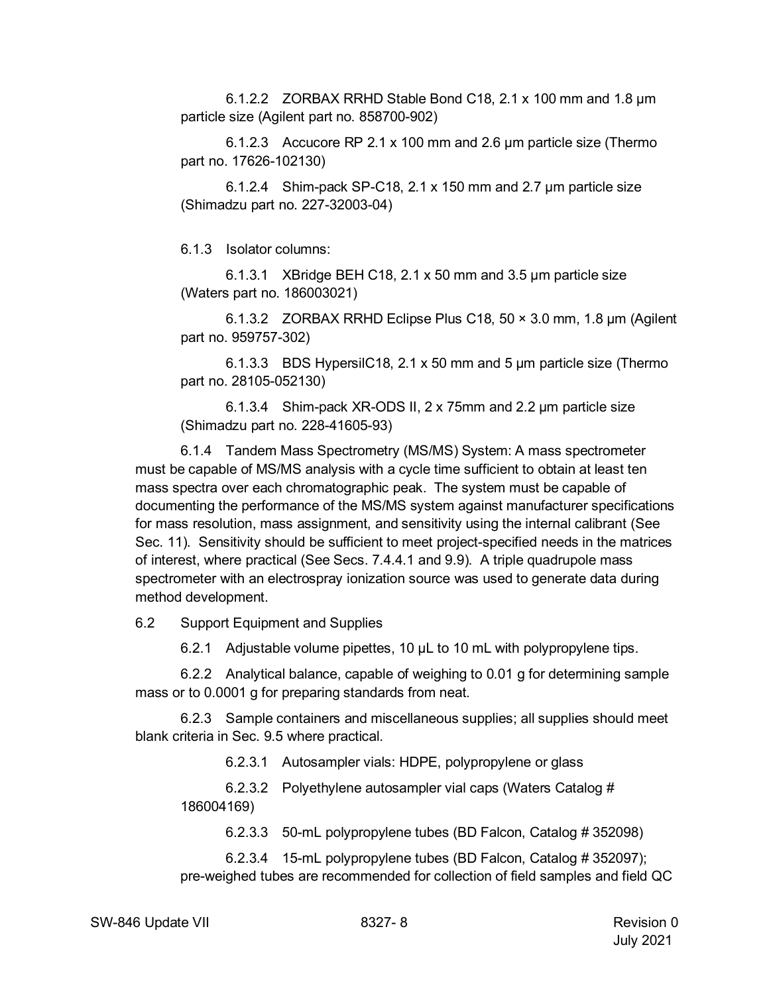6.1.2.2 ZORBAX RRHD Stable Bond C18, 2.1 x 100 mm and 1.8 µm particle size (Agilent part no. 858700-902)

6.1.2.3 Accucore RP 2.1 x 100 mm and 2.6 µm particle size (Thermo part no. 17626-102130)

6.1.2.4 Shim-pack SP-C18, 2.1 x 150 mm and 2.7 µm particle size (Shimadzu part no. 227-32003-04)

6.1.3 Isolator columns:

6.1.3.1 XBridge BEH C18, 2.1 x 50 mm and 3.5 µm particle size (Waters part no. 186003021)

6.1.3.2 ZORBAX RRHD Eclipse Plus C18, 50 × 3.0 mm, 1.8 μm (Agilent part no. 959757-302)

6.1.3.3 BDS HypersilC18, 2.1 x 50 mm and 5 µm particle size (Thermo part no. 28105-052130)

6.1.3.4 Shim-pack XR-ODS II, 2 x 75mm and 2.2 µm particle size (Shimadzu part no. 228-41605-93)

6.1.4 Tandem Mass Spectrometry (MS/MS) System: A mass spectrometer must be capable of MS/MS analysis with a cycle time sufficient to obtain at least ten mass spectra over each chromatographic peak. The system must be capable of documenting the performance of the MS/MS system against manufacturer specifications for mass resolution, mass assignment, and sensitivity using the internal calibrant (See Sec. 11). Sensitivity should be sufficient to meet project-specified needs in the matrices of interest, where practical (See Secs. 7.4.4.1 and 9.9). A triple quadrupole mass spectrometer with an electrospray ionization source was used to generate data during method development.

6.2 Support Equipment and Supplies

6.2.1 Adjustable volume pipettes, 10 µL to 10 mL with polypropylene tips.

6.2.2 Analytical balance, capable of weighing to 0.01 g for determining sample mass or to 0.0001 g for preparing standards from neat.

6.2.3 Sample containers and miscellaneous supplies; all supplies should meet blank criteria in Sec. 9.5 where practical.

6.2.3.1 Autosampler vials: HDPE, polypropylene or glass

6.2.3.2 Polyethylene autosampler vial caps (Waters Catalog # 186004169)

6.2.3.3 50-mL polypropylene tubes (BD Falcon, Catalog # 352098)

6.2.3.4 15-mL polypropylene tubes (BD Falcon, Catalog # 352097); pre-weighed tubes are recommended for collection of field samples and field QC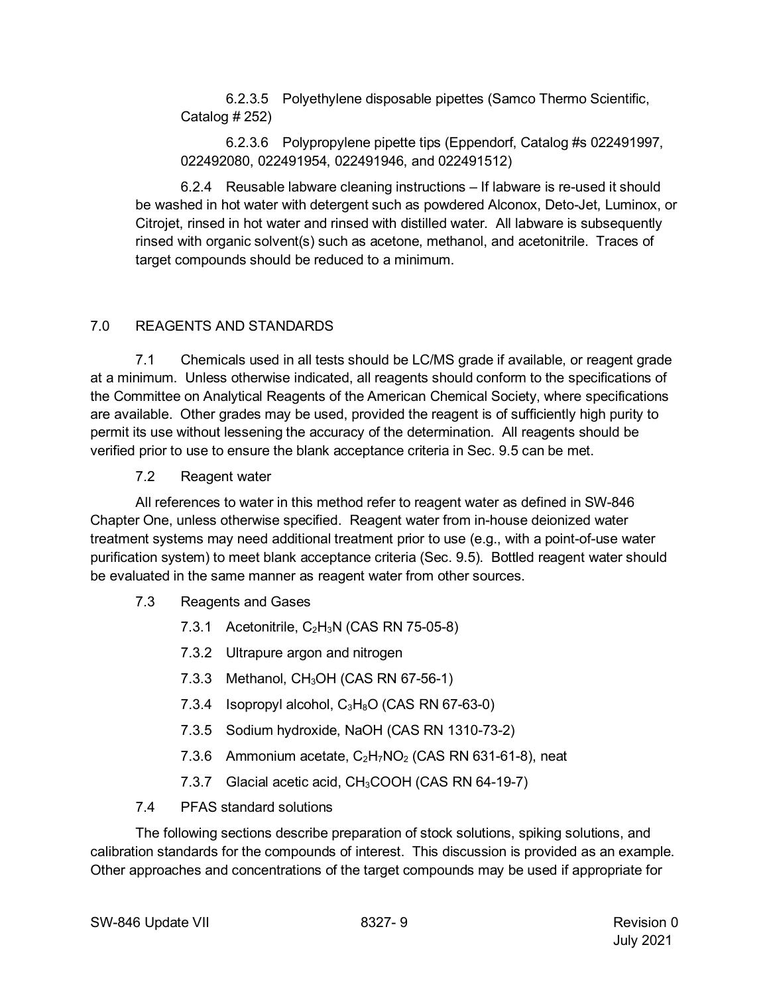6.2.3.5 Polyethylene disposable pipettes (Samco Thermo Scientific, Catalog # 252)

6.2.3.6 Polypropylene pipette tips (Eppendorf, Catalog #s 022491997, 022492080, 022491954, 022491946, and 022491512)

6.2.4 Reusable labware cleaning instructions – If labware is re-used it should be washed in hot water with detergent such as powdered Alconox, Deto-Jet, Luminox, or Citrojet, rinsed in hot water and rinsed with distilled water. All labware is subsequently rinsed with organic solvent(s) such as acetone, methanol, and acetonitrile. Traces of target compounds should be reduced to a minimum.

# <span id="page-8-0"></span>7.0 REAGENTS AND STANDARDS

7.1 Chemicals used in all tests should be LC/MS grade if available, or reagent grade at a minimum. Unless otherwise indicated, all reagents should conform to the specifications of the Committee on Analytical Reagents of the American Chemical Society, where specifications are available. Other grades may be used, provided the reagent is of sufficiently high purity to permit its use without lessening the accuracy of the determination. All reagents should be verified prior to use to ensure the blank acceptance criteria in Sec. 9.5 can be met.

7.2 Reagent water

All references to water in this method refer to reagent water as defined in SW-846 Chapter One, unless otherwise specified. Reagent water from in-house deionized water treatment systems may need additional treatment prior to use (e.g., with a point-of-use water purification system) to meet blank acceptance criteria (Sec. 9.5). Bottled reagent water should be evaluated in the same manner as reagent water from other sources.

- 7.3 Reagents and Gases
	- 7.3.1 Acetonitrile,  $C_2H_3N$  (CAS RN 75-05-8)
	- 7.3.2 Ultrapure argon and nitrogen
	- 7.3.3 Methanol, CH<sub>3</sub>OH (CAS RN 67-56-1)
	- 7.3.4 Isopropyl alcohol,  $C_3H_8O$  (CAS RN 67-63-0)
	- 7.3.5 Sodium hydroxide, NaOH (CAS RN 1310-73-2)
	- 7.3.6 Ammonium acetate,  $C_2H_7NO_2$  (CAS RN 631-61-8), neat
	- 7.3.7 Glacial acetic acid, CH<sub>3</sub>COOH (CAS RN 64-19-7)
- 7.4 PFAS standard solutions

The following sections describe preparation of stock solutions, spiking solutions, and calibration standards for the compounds of interest. This discussion is provided as an example. Other approaches and concentrations of the target compounds may be used if appropriate for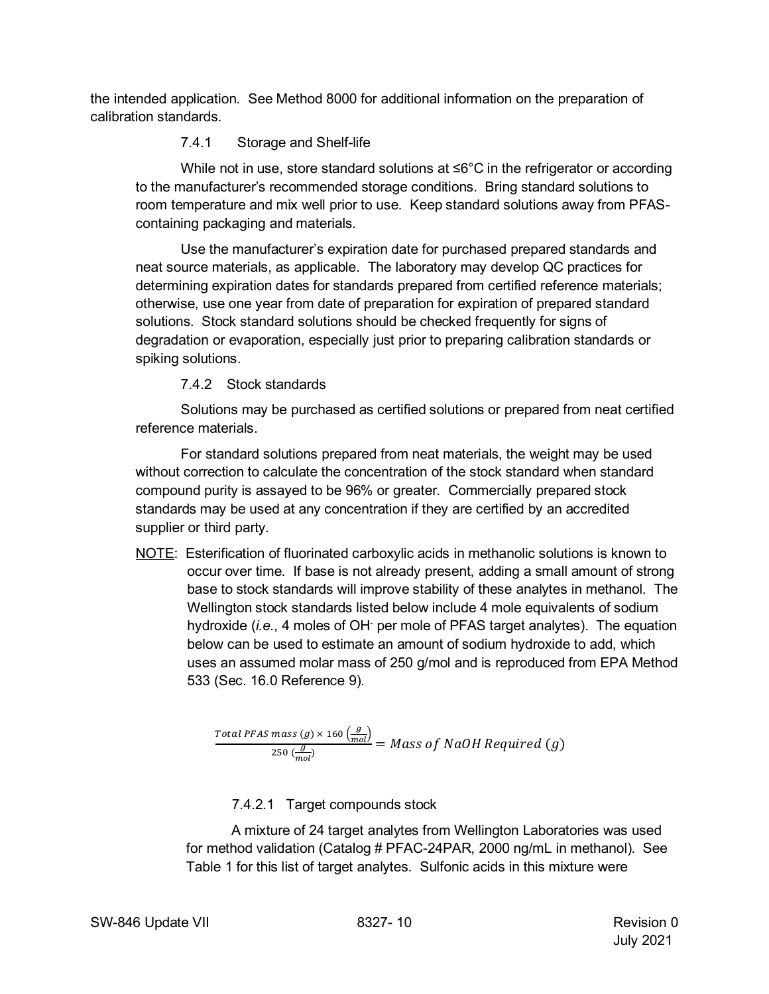the intended application. See Method 8000 for additional information on the preparation of calibration standards.

# 7.4.1 Storage and Shelf-life

While not in use, store standard solutions at ≤6°C in the refrigerator or according to the manufacturer's recommended storage conditions. Bring standard solutions to room temperature and mix well prior to use. Keep standard solutions away from PFAScontaining packaging and materials.

Use the manufacturer's expiration date for purchased prepared standards and neat source materials, as applicable. The laboratory may develop QC practices for determining expiration dates for standards prepared from certified reference materials; otherwise, use one year from date of preparation for expiration of prepared standard solutions. Stock standard solutions should be checked frequently for signs of degradation or evaporation, especially just prior to preparing calibration standards or spiking solutions.

7.4.2 Stock standards

Solutions may be purchased as certified solutions or prepared from neat certified reference materials.

For standard solutions prepared from neat materials, the weight may be used without correction to calculate the concentration of the stock standard when standard compound purity is assayed to be 96% or greater. Commercially prepared stock standards may be used at any concentration if they are certified by an accredited supplier or third party.

NOTE: Esterification of fluorinated carboxylic acids in methanolic solutions is known to occur over time. If base is not already present, adding a small amount of strong base to stock standards will improve stability of these analytes in methanol. The Wellington stock standards listed below include 4 mole equivalents of sodium hydroxide (*i.e.*, 4 moles of OH- per mole of PFAS target analytes). The equation below can be used to estimate an amount of sodium hydroxide to add, which uses an assumed molar mass of 250 g/mol and is reproduced from EPA Method 533 (Sec. 16.0 Reference 9).

$$
\frac{Total\,PFAS\,mass\,(g)\times160\left(\frac{g}{mol}\right)}{250\left(\frac{g}{mol}\right)} = Mass\,of\,NaOH\,Required\,(g)
$$

7.4.2.1 Target compounds stock

A mixture of 24 target analytes from Wellington Laboratories was used for method validation (Catalog # PFAC-24PAR, 2000 ng/mL in methanol). See Table 1 for this list of target analytes. Sulfonic acids in this mixture were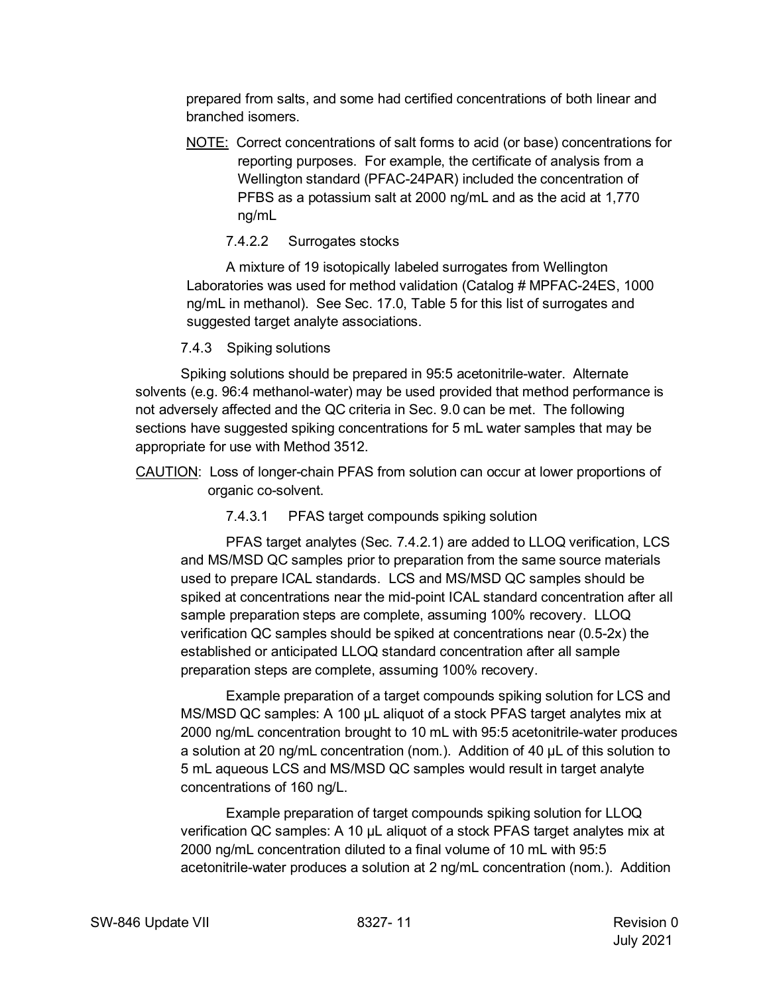prepared from salts, and some had certified concentrations of both linear and branched isomers.

NOTE: Correct concentrations of salt forms to acid (or base) concentrations for reporting purposes. For example, the certificate of analysis from a Wellington standard (PFAC-24PAR) included the concentration of PFBS as a potassium salt at 2000 ng/mL and as the acid at 1,770 ng/mL

## 7.4.2.2 Surrogates stocks

A mixture of 19 isotopically labeled surrogates from Wellington Laboratories was used for method validation (Catalog # MPFAC-24ES, 1000 ng/mL in methanol). See Sec. 17.0, Table 5 for this list of surrogates and suggested target analyte associations.

7.4.3 Spiking solutions

Spiking solutions should be prepared in 95:5 acetonitrile-water. Alternate solvents (e.g. 96:4 methanol-water) may be used provided that method performance is not adversely affected and the QC criteria in Sec. 9.0 can be met. The following sections have suggested spiking concentrations for 5 mL water samples that may be appropriate for use with Method 3512.

7.4.3.1 PFAS target compounds spiking solution

PFAS target analytes (Sec. 7.4.2.1) are added to LLOQ verification, LCS and MS/MSD QC samples prior to preparation from the same source materials used to prepare ICAL standards. LCS and MS/MSD QC samples should be spiked at concentrations near the mid-point ICAL standard concentration after all sample preparation steps are complete, assuming 100% recovery. LLOQ verification QC samples should be spiked at concentrations near (0.5-2x) the established or anticipated LLOQ standard concentration after all sample preparation steps are complete, assuming 100% recovery.

Example preparation of a target compounds spiking solution for LCS and MS/MSD QC samples: A 100 µL aliquot of a stock PFAS target analytes mix at 2000 ng/mL concentration brought to 10 mL with 95:5 acetonitrile-water produces a solution at 20 ng/mL concentration (nom.). Addition of 40 µL of this solution to 5 mL aqueous LCS and MS/MSD QC samples would result in target analyte concentrations of 160 ng/L.

Example preparation of target compounds spiking solution for LLOQ verification QC samples: A 10 µL aliquot of a stock PFAS target analytes mix at 2000 ng/mL concentration diluted to a final volume of 10 mL with 95:5 acetonitrile-water produces a solution at 2 ng/mL concentration (nom.). Addition

CAUTION: Loss of longer-chain PFAS from solution can occur at lower proportions of organic co-solvent.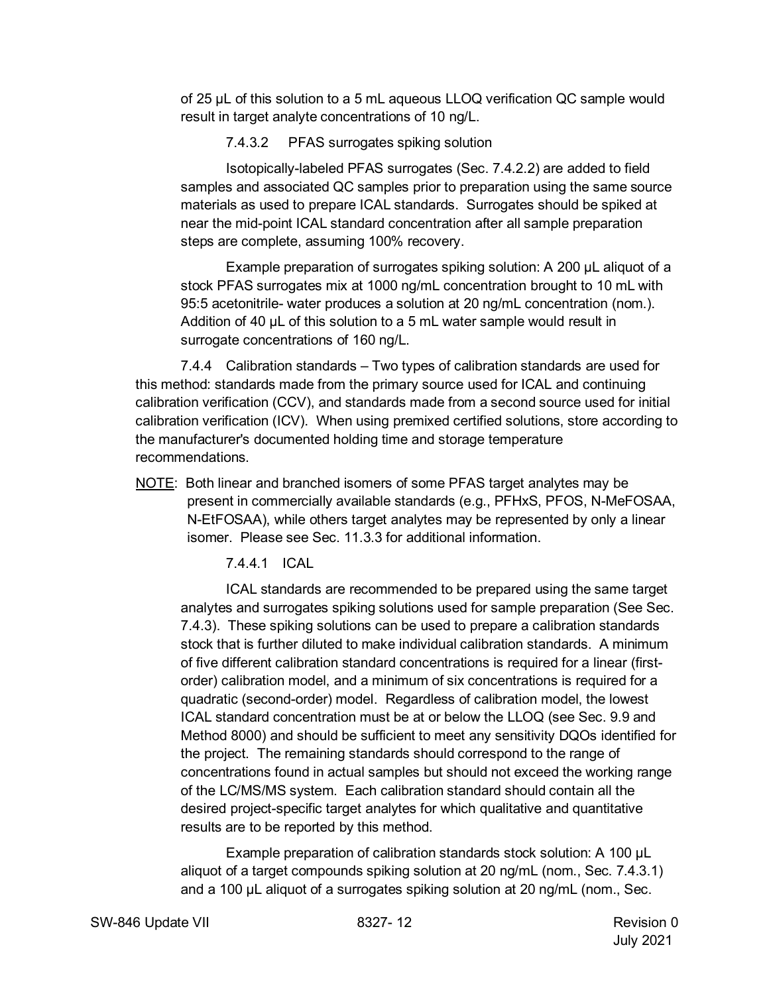of 25 µL of this solution to a 5 mL aqueous LLOQ verification QC sample would result in target analyte concentrations of 10 ng/L.

7.4.3.2 PFAS surrogates spiking solution

Isotopically-labeled PFAS surrogates (Sec. 7.4.2.2) are added to field samples and associated QC samples prior to preparation using the same source materials as used to prepare ICAL standards. Surrogates should be spiked at near the mid-point ICAL standard concentration after all sample preparation steps are complete, assuming 100% recovery.

Example preparation of surrogates spiking solution: A 200 µL aliquot of a stock PFAS surrogates mix at 1000 ng/mL concentration brought to 10 mL with 95:5 acetonitrile- water produces a solution at 20 ng/mL concentration (nom.). Addition of 40 µL of this solution to a 5 mL water sample would result in surrogate concentrations of 160 ng/L.

7.4.4 Calibration standards – Two types of calibration standards are used for this method: standards made from the primary source used for ICAL and continuing calibration verification (CCV), and standards made from a second source used for initial calibration verification (ICV). When using premixed certified solutions, store according to the manufacturer's documented holding time and storage temperature recommendations.

NOTE: Both linear and branched isomers of some PFAS target analytes may be present in commercially available standards (e.g., PFHxS, PFOS, N-MeFOSAA, N-EtFOSAA), while others target analytes may be represented by only a linear isomer. Please see Sec. 11.3.3 for additional information.

7.4.4.1 ICAL

ICAL standards are recommended to be prepared using the same target analytes and surrogates spiking solutions used for sample preparation (See Sec. 7.4.3). These spiking solutions can be used to prepare a calibration standards stock that is further diluted to make individual calibration standards. A minimum of five different calibration standard concentrations is required for a linear (firstorder) calibration model, and a minimum of six concentrations is required for a quadratic (second-order) model. Regardless of calibration model, the lowest ICAL standard concentration must be at or below the LLOQ (see Sec. 9.9 and Method 8000) and should be sufficient to meet any sensitivity DQOs identified for the project. The remaining standards should correspond to the range of concentrations found in actual samples but should not exceed the working range of the LC/MS/MS system. Each calibration standard should contain all the desired project-specific target analytes for which qualitative and quantitative results are to be reported by this method.

Example preparation of calibration standards stock solution: A 100 µL aliquot of a target compounds spiking solution at 20 ng/mL (nom., Sec. 7.4.3.1) and a 100 µL aliquot of a surrogates spiking solution at 20 ng/mL (nom., Sec.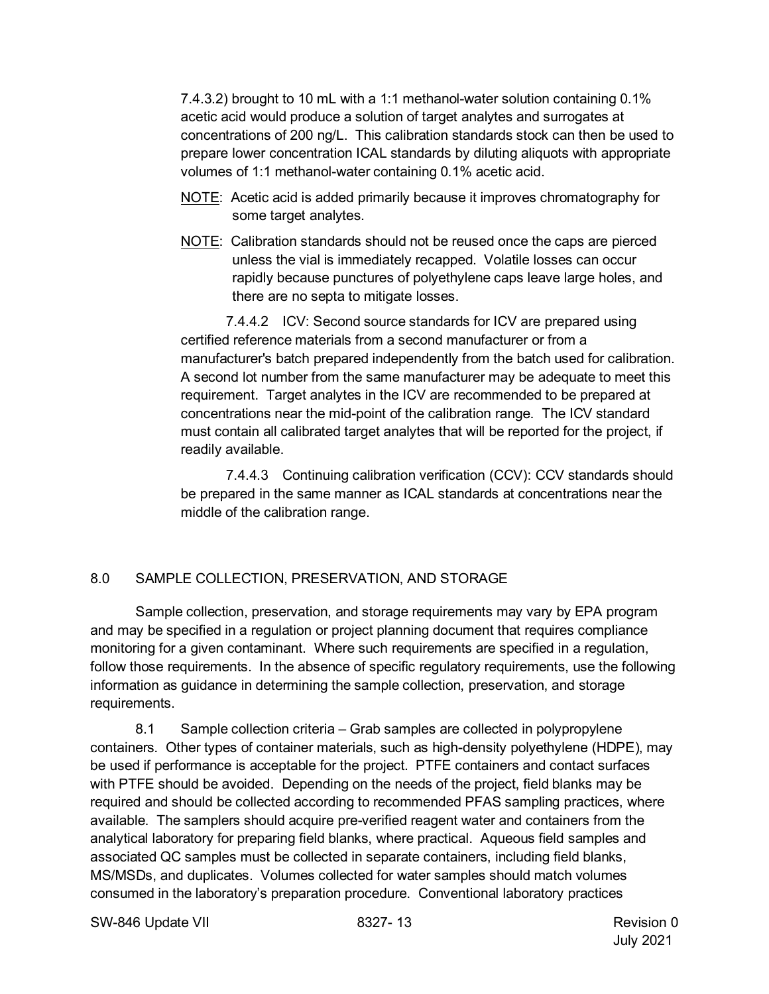7.4.3.2) brought to 10 mL with a 1:1 methanol-water solution containing 0.1% acetic acid would produce a solution of target analytes and surrogates at concentrations of 200 ng/L. This calibration standards stock can then be used to prepare lower concentration ICAL standards by diluting aliquots with appropriate volumes of 1:1 methanol-water containing 0.1% acetic acid.

- NOTE: Acetic acid is added primarily because it improves chromatography for some target analytes.
- NOTE: Calibration standards should not be reused once the caps are pierced unless the vial is immediately recapped. Volatile losses can occur rapidly because punctures of polyethylene caps leave large holes, and there are no septa to mitigate losses.

7.4.4.2 ICV: Second source standards for ICV are prepared using certified reference materials from a second manufacturer or from a manufacturer's batch prepared independently from the batch used for calibration. A second lot number from the same manufacturer may be adequate to meet this requirement. Target analytes in the ICV are recommended to be prepared at concentrations near the mid-point of the calibration range. The ICV standard must contain all calibrated target analytes that will be reported for the project, if readily available.

7.4.4.3 Continuing calibration verification (CCV): CCV standards should be prepared in the same manner as ICAL standards at concentrations near the middle of the calibration range.

### <span id="page-12-0"></span>8.0 SAMPLE COLLECTION, PRESERVATION, AND STORAGE

Sample collection, preservation, and storage requirements may vary by EPA program and may be specified in a regulation or project planning document that requires compliance monitoring for a given contaminant. Where such requirements are specified in a regulation, follow those requirements. In the absence of specific regulatory requirements, use the following information as guidance in determining the sample collection, preservation, and storage requirements.

8.1 Sample collection criteria – Grab samples are collected in polypropylene containers. Other types of container materials, such as high-density polyethylene (HDPE), may be used if performance is acceptable for the project. PTFE containers and contact surfaces with PTFE should be avoided. Depending on the needs of the project, field blanks may be required and should be collected according to recommended PFAS sampling practices, where available. The samplers should acquire pre-verified reagent water and containers from the analytical laboratory for preparing field blanks, where practical. Aqueous field samples and associated QC samples must be collected in separate containers, including field blanks, MS/MSDs, and duplicates. Volumes collected for water samples should match volumes consumed in the laboratory's preparation procedure. Conventional laboratory practices

SW-846 Update VII 8327- 13 Revision 0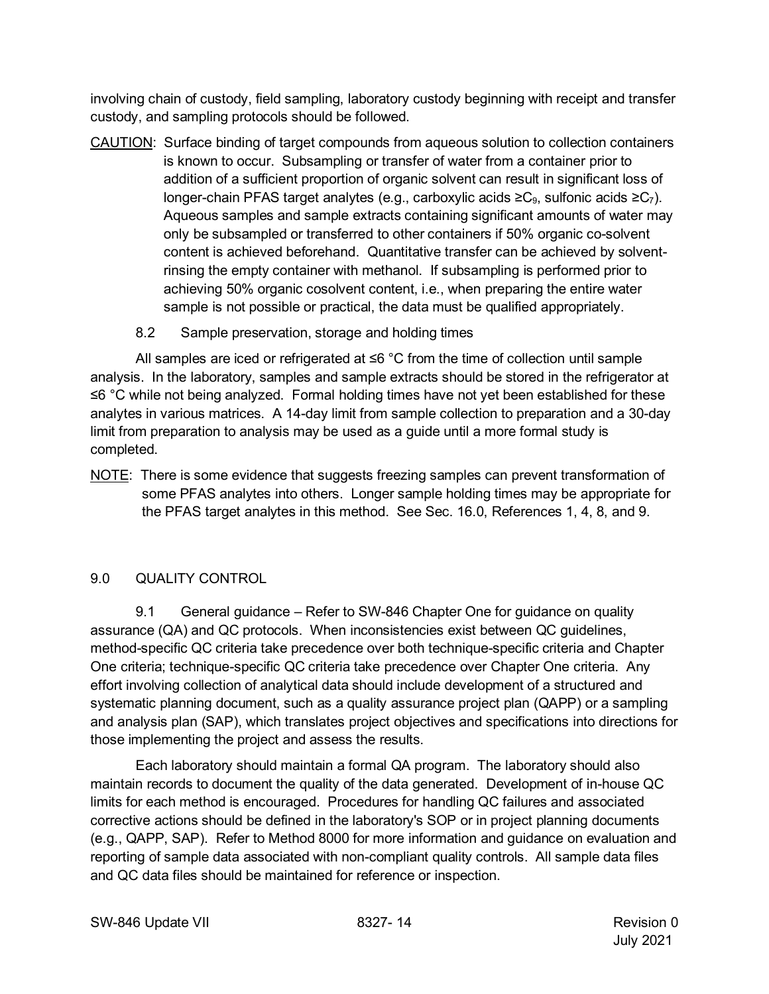involving chain of custody, field sampling, laboratory custody beginning with receipt and transfer custody, and sampling protocols should be followed.

- CAUTION: Surface binding of target compounds from aqueous solution to collection containers is known to occur. Subsampling or transfer of water from a container prior to addition of a sufficient proportion of organic solvent can result in significant loss of longer-chain PFAS target analytes (e.g., carboxylic acids ≥C<sub>9</sub>, sulfonic acids ≥C<sub>7</sub>). Aqueous samples and sample extracts containing significant amounts of water may only be subsampled or transferred to other containers if 50% organic co-solvent content is achieved beforehand. Quantitative transfer can be achieved by solventrinsing the empty container with methanol. If subsampling is performed prior to achieving 50% organic cosolvent content, i.e., when preparing the entire water sample is not possible or practical, the data must be qualified appropriately.
	- 8.2 Sample preservation, storage and holding times

All samples are iced or refrigerated at ≤6 °C from the time of collection until sample analysis. In the laboratory, samples and sample extracts should be stored in the refrigerator at ≤6 °C while not being analyzed. Formal holding times have not yet been established for these analytes in various matrices. A 14-day limit from sample collection to preparation and a 30-day limit from preparation to analysis may be used as a guide until a more formal study is completed.

NOTE: There is some evidence that suggests freezing samples can prevent transformation of some PFAS analytes into others. Longer sample holding times may be appropriate for the PFAS target analytes in this method. See Sec. 16.0, References 1, 4, 8, and 9.

# <span id="page-13-0"></span>9.0 QUALITY CONTROL

9.1 General guidance – Refer to SW-846 Chapter One for guidance on quality assurance (QA) and QC protocols. When inconsistencies exist between QC guidelines, method-specific QC criteria take precedence over both technique-specific criteria and Chapter One criteria; technique-specific QC criteria take precedence over Chapter One criteria. Any effort involving collection of analytical data should include development of a structured and systematic planning document, such as a quality assurance project plan (QAPP) or a sampling and analysis plan (SAP), which translates project objectives and specifications into directions for those implementing the project and assess the results.

Each laboratory should maintain a formal QA program. The laboratory should also maintain records to document the quality of the data generated. Development of in-house QC limits for each method is encouraged. Procedures for handling QC failures and associated corrective actions should be defined in the laboratory's SOP or in project planning documents (e.g., QAPP, SAP). Refer to Method 8000 for more information and guidance on evaluation and reporting of sample data associated with non-compliant quality controls. All sample data files and QC data files should be maintained for reference or inspection.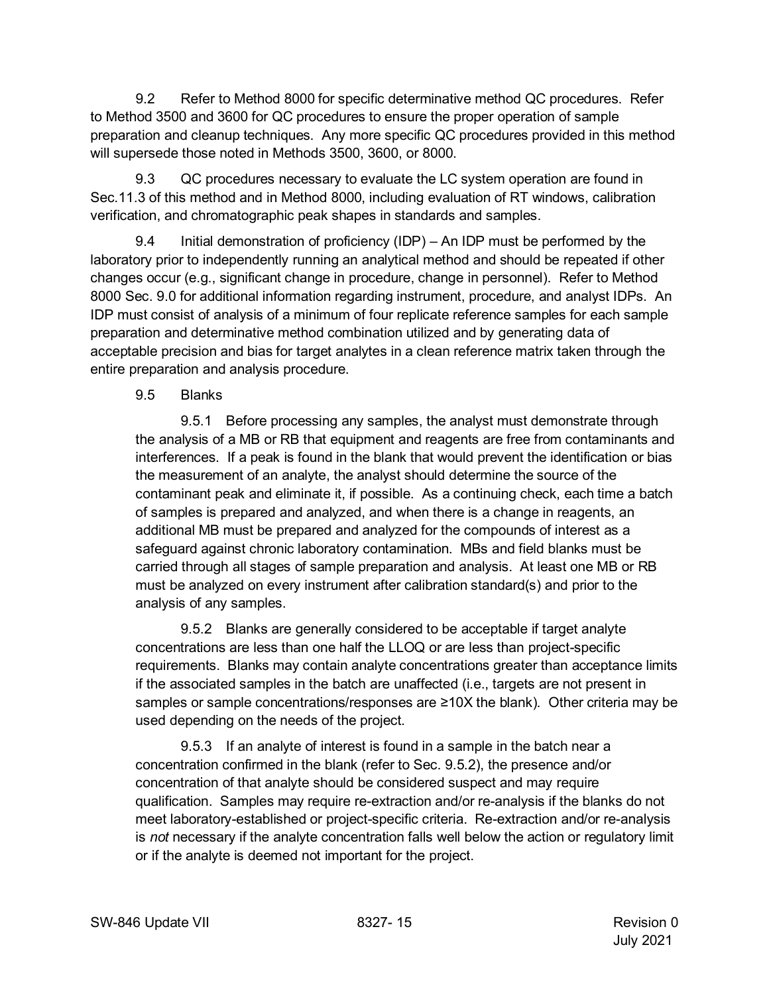9.2 Refer to Method 8000 for specific determinative method QC procedures. Refer to Method 3500 and 3600 for QC procedures to ensure the proper operation of sample preparation and cleanup techniques. Any more specific QC procedures provided in this method will supersede those noted in Methods 3500, 3600, or 8000.

9.3 QC procedures necessary to evaluate the LC system operation are found in Sec.11.3 of this method and in Method 8000, including evaluation of RT windows, calibration verification, and chromatographic peak shapes in standards and samples.

9.4 Initial demonstration of proficiency (IDP) – An IDP must be performed by the laboratory prior to independently running an analytical method and should be repeated if other changes occur (e.g., significant change in procedure, change in personnel). Refer to Method 8000 Sec. 9.0 for additional information regarding instrument, procedure, and analyst IDPs. An IDP must consist of analysis of a minimum of four replicate reference samples for each sample preparation and determinative method combination utilized and by generating data of acceptable precision and bias for target analytes in a clean reference matrix taken through the entire preparation and analysis procedure.

## 9.5 Blanks

9.5.1 Before processing any samples, the analyst must demonstrate through the analysis of a MB or RB that equipment and reagents are free from contaminants and interferences. If a peak is found in the blank that would prevent the identification or bias the measurement of an analyte, the analyst should determine the source of the contaminant peak and eliminate it, if possible. As a continuing check, each time a batch of samples is prepared and analyzed, and when there is a change in reagents, an additional MB must be prepared and analyzed for the compounds of interest as a safeguard against chronic laboratory contamination. MBs and field blanks must be carried through all stages of sample preparation and analysis. At least one MB or RB must be analyzed on every instrument after calibration standard(s) and prior to the analysis of any samples.

9.5.2 Blanks are generally considered to be acceptable if target analyte concentrations are less than one half the LLOQ or are less than project-specific requirements. Blanks may contain analyte concentrations greater than acceptance limits if the associated samples in the batch are unaffected (i.e., targets are not present in samples or sample concentrations/responses are ≥10X the blank). Other criteria may be used depending on the needs of the project.

9.5.3 If an analyte of interest is found in a sample in the batch near a concentration confirmed in the blank (refer to Sec. 9.5.2), the presence and/or concentration of that analyte should be considered suspect and may require qualification. Samples may require re-extraction and/or re-analysis if the blanks do not meet laboratory-established or project-specific criteria. Re-extraction and/or re-analysis is *not* necessary if the analyte concentration falls well below the action or regulatory limit or if the analyte is deemed not important for the project.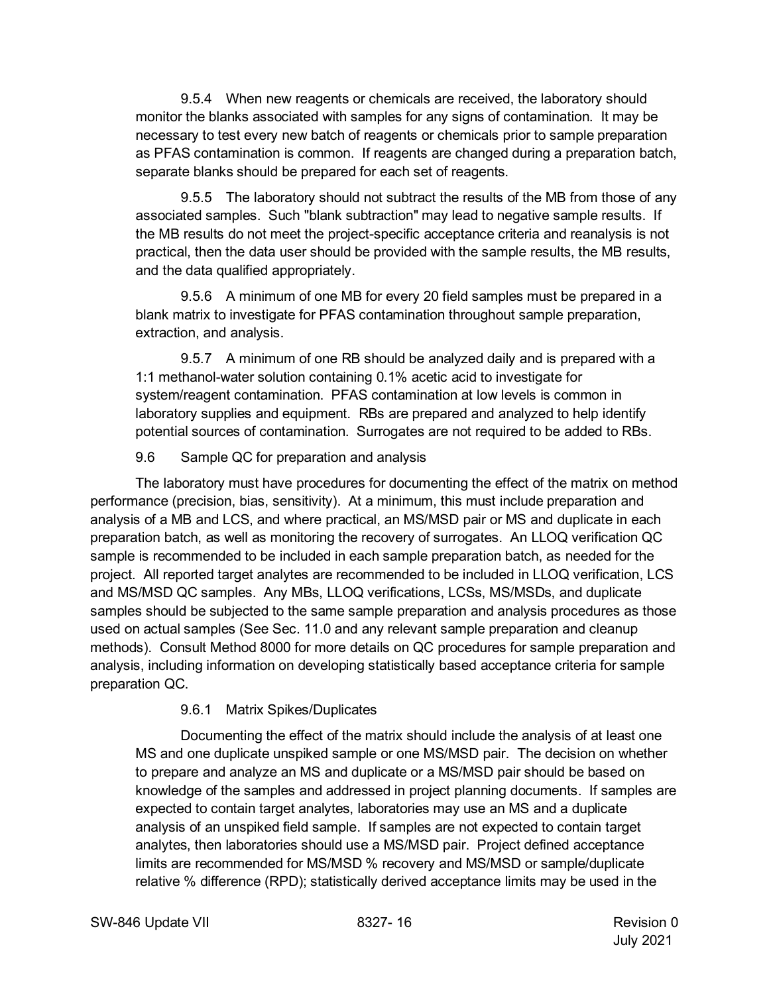9.5.4 When new reagents or chemicals are received, the laboratory should monitor the blanks associated with samples for any signs of contamination. It may be necessary to test every new batch of reagents or chemicals prior to sample preparation as PFAS contamination is common. If reagents are changed during a preparation batch, separate blanks should be prepared for each set of reagents.

9.5.5 The laboratory should not subtract the results of the MB from those of any associated samples. Such "blank subtraction" may lead to negative sample results. If the MB results do not meet the project-specific acceptance criteria and reanalysis is not practical, then the data user should be provided with the sample results, the MB results, and the data qualified appropriately.

9.5.6 A minimum of one MB for every 20 field samples must be prepared in a blank matrix to investigate for PFAS contamination throughout sample preparation, extraction, and analysis.

9.5.7 A minimum of one RB should be analyzed daily and is prepared with a 1:1 methanol-water solution containing 0.1% acetic acid to investigate for system/reagent contamination. PFAS contamination at low levels is common in laboratory supplies and equipment. RBs are prepared and analyzed to help identify potential sources of contamination. Surrogates are not required to be added to RBs.

### 9.6 Sample QC for preparation and analysis

The laboratory must have procedures for documenting the effect of the matrix on method performance (precision, bias, sensitivity). At a minimum, this must include preparation and analysis of a MB and LCS, and where practical, an MS/MSD pair or MS and duplicate in each preparation batch, as well as monitoring the recovery of surrogates. An LLOQ verification QC sample is recommended to be included in each sample preparation batch, as needed for the project. All reported target analytes are recommended to be included in LLOQ verification, LCS and MS/MSD QC samples. Any MBs, LLOQ verifications, LCSs, MS/MSDs, and duplicate samples should be subjected to the same sample preparation and analysis procedures as those used on actual samples (See Sec. 11.0 and any relevant sample preparation and cleanup methods). Consult Method 8000 for more details on QC procedures for sample preparation and analysis, including information on developing statistically based acceptance criteria for sample preparation QC.

### 9.6.1 Matrix Spikes/Duplicates

Documenting the effect of the matrix should include the analysis of at least one MS and one duplicate unspiked sample or one MS/MSD pair. The decision on whether to prepare and analyze an MS and duplicate or a MS/MSD pair should be based on knowledge of the samples and addressed in project planning documents. If samples are expected to contain target analytes, laboratories may use an MS and a duplicate analysis of an unspiked field sample. If samples are not expected to contain target analytes, then laboratories should use a MS/MSD pair. Project defined acceptance limits are recommended for MS/MSD % recovery and MS/MSD or sample/duplicate relative % difference (RPD); statistically derived acceptance limits may be used in the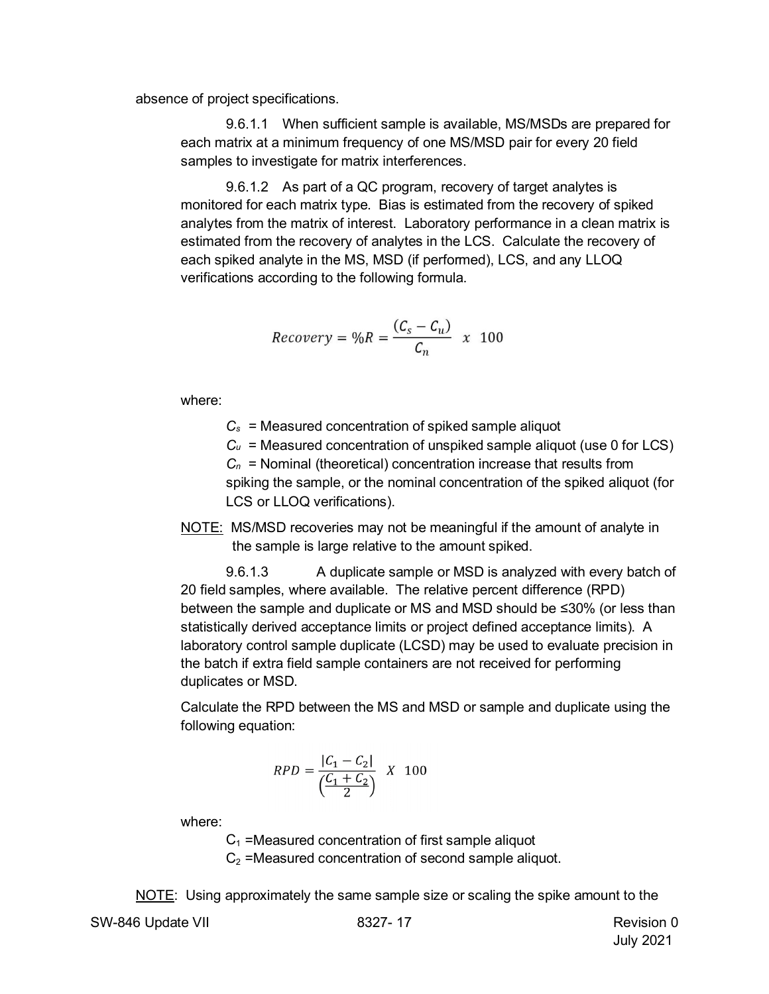absence of project specifications.

9.6.1.1 When sufficient sample is available, MS/MSDs are prepared for each matrix at a minimum frequency of one MS/MSD pair for every 20 field samples to investigate for matrix interferences.

9.6.1.2 As part of a QC program, recovery of target analytes is monitored for each matrix type. Bias is estimated from the recovery of spiked analytes from the matrix of interest. Laboratory performance in a clean matrix is estimated from the recovery of analytes in the LCS. Calculate the recovery of each spiked analyte in the MS, MSD (if performed), LCS, and any LLOQ verifications according to the following formula.

$$
Recovery = \%R = \frac{(C_s - C_u)}{C_n} \times 100
$$

where:

*Cs* = Measured concentration of spiked sample aliquot

 $C_u$  = Measured concentration of unspiked sample aliquot (use 0 for LCS)

*Cn* = Nominal (theoretical) concentration increase that results from spiking the sample, or the nominal concentration of the spiked aliquot (for LCS or LLOQ verifications).

NOTE: MS/MSD recoveries may not be meaningful if the amount of analyte in the sample is large relative to the amount spiked.

9.6.1.3 A duplicate sample or MSD is analyzed with every batch of 20 field samples, where available. The relative percent difference (RPD) between the sample and duplicate or MS and MSD should be ≤30% (or less than statistically derived acceptance limits or project defined acceptance limits). A laboratory control sample duplicate (LCSD) may be used to evaluate precision in the batch if extra field sample containers are not received for performing duplicates or MSD.

Calculate the RPD between the MS and MSD or sample and duplicate using the following equation:

$$
RPD = \frac{|C_1 - C_2|}{\left(\frac{C_1 + C_2}{2}\right)} \quad X \quad 100
$$

where:

 $C_1$  =Measured concentration of first sample aliquot  $C_2$  =Measured concentration of second sample aliquot.

NOTE: Using approximately the same sample size or scaling the spike amount to the

SW-846 Update VII 8327-17 Revision 0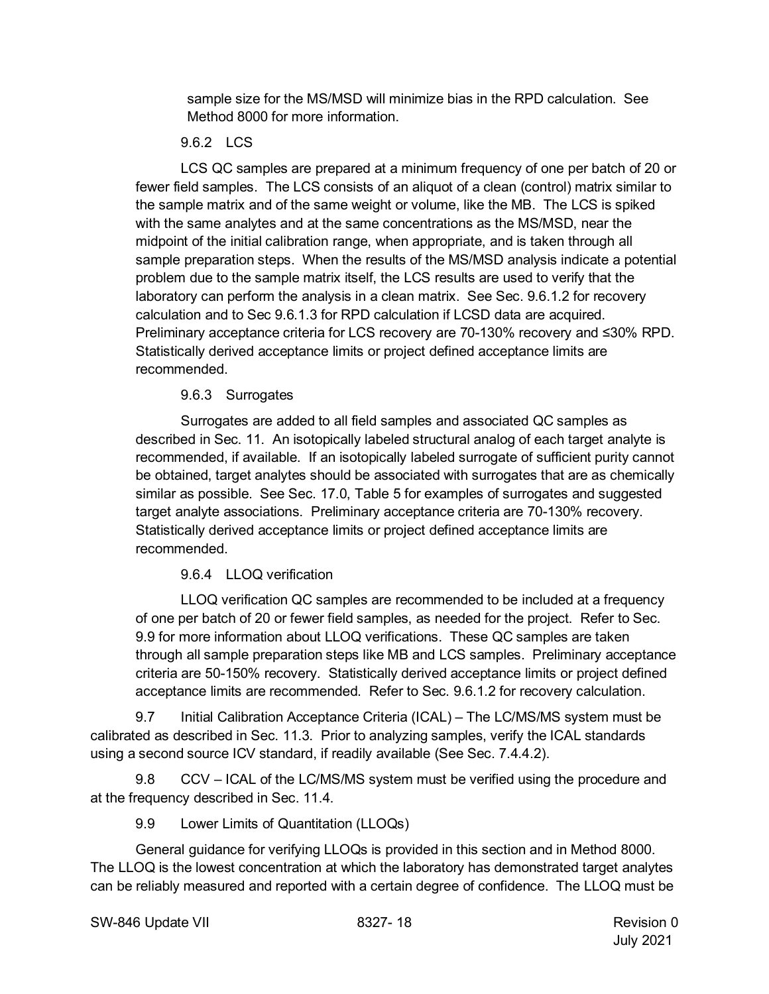sample size for the MS/MSD will minimize bias in the RPD calculation. See Method 8000 for more information.

## 9.6.2 LCS

LCS QC samples are prepared at a minimum frequency of one per batch of 20 or fewer field samples. The LCS consists of an aliquot of a clean (control) matrix similar to the sample matrix and of the same weight or volume, like the MB. The LCS is spiked with the same analytes and at the same concentrations as the MS/MSD, near the midpoint of the initial calibration range, when appropriate, and is taken through all sample preparation steps. When the results of the MS/MSD analysis indicate a potential problem due to the sample matrix itself, the LCS results are used to verify that the laboratory can perform the analysis in a clean matrix. See Sec. 9.6.1.2 for recovery calculation and to Sec 9.6.1.3 for RPD calculation if LCSD data are acquired. Preliminary acceptance criteria for LCS recovery are 70-130% recovery and ≤30% RPD. Statistically derived acceptance limits or project defined acceptance limits are recommended.

### 9.6.3 Surrogates

Surrogates are added to all field samples and associated QC samples as described in Sec. 11. An isotopically labeled structural analog of each target analyte is recommended, if available. If an isotopically labeled surrogate of sufficient purity cannot be obtained, target analytes should be associated with surrogates that are as chemically similar as possible. See Sec. 17.0, Table 5 for examples of surrogates and suggested target analyte associations. Preliminary acceptance criteria are 70-130% recovery. Statistically derived acceptance limits or project defined acceptance limits are recommended.

# 9.6.4 LLOQ verification

LLOQ verification QC samples are recommended to be included at a frequency of one per batch of 20 or fewer field samples, as needed for the project. Refer to Sec. 9.9 for more information about LLOQ verifications. These QC samples are taken through all sample preparation steps like MB and LCS samples. Preliminary acceptance criteria are 50-150% recovery. Statistically derived acceptance limits or project defined acceptance limits are recommended. Refer to Sec. 9.6.1.2 for recovery calculation.

9.7 Initial Calibration Acceptance Criteria (ICAL) – The LC/MS/MS system must be calibrated as described in Sec. 11.3. Prior to analyzing samples, verify the ICAL standards using a second source ICV standard, if readily available (See Sec. 7.4.4.2).

9.8 CCV – ICAL of the LC/MS/MS system must be verified using the procedure and at the frequency described in Sec. 11.4.

9.9 Lower Limits of Quantitation (LLOQs)

General guidance for verifying LLOQs is provided in this section and in Method 8000. The LLOQ is the lowest concentration at which the laboratory has demonstrated target analytes can be reliably measured and reported with a certain degree of confidence. The LLOQ must be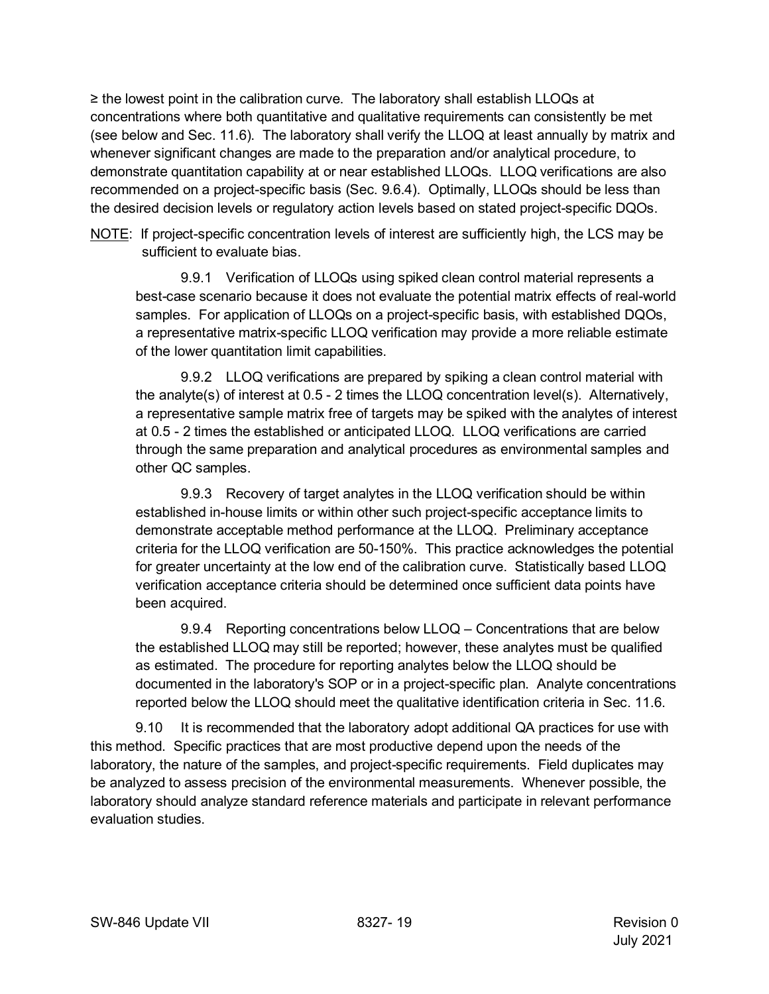≥ the lowest point in the calibration curve. The laboratory shall establish LLOQs at concentrations where both quantitative and qualitative requirements can consistently be met (see below and Sec. 11.6). The laboratory shall verify the LLOQ at least annually by matrix and whenever significant changes are made to the preparation and/or analytical procedure, to demonstrate quantitation capability at or near established LLOQs. LLOQ verifications are also recommended on a project-specific basis (Sec. 9.6.4). Optimally, LLOQs should be less than the desired decision levels or regulatory action levels based on stated project-specific DQOs.

NOTE: If project-specific concentration levels of interest are sufficiently high, the LCS may be sufficient to evaluate bias.

9.9.1 Verification of LLOQs using spiked clean control material represents a best-case scenario because it does not evaluate the potential matrix effects of real-world samples. For application of LLOQs on a project-specific basis, with established DQOs, a representative matrix-specific LLOQ verification may provide a more reliable estimate of the lower quantitation limit capabilities.

9.9.2 LLOQ verifications are prepared by spiking a clean control material with the analyte(s) of interest at 0.5 - 2 times the LLOQ concentration level(s). Alternatively, a representative sample matrix free of targets may be spiked with the analytes of interest at 0.5 - 2 times the established or anticipated LLOQ. LLOQ verifications are carried through the same preparation and analytical procedures as environmental samples and other QC samples.

9.9.3 Recovery of target analytes in the LLOQ verification should be within established in-house limits or within other such project-specific acceptance limits to demonstrate acceptable method performance at the LLOQ. Preliminary acceptance criteria for the LLOQ verification are 50-150%. This practice acknowledges the potential for greater uncertainty at the low end of the calibration curve. Statistically based LLOQ verification acceptance criteria should be determined once sufficient data points have been acquired.

9.9.4 Reporting concentrations below LLOQ – Concentrations that are below the established LLOQ may still be reported; however, these analytes must be qualified as estimated. The procedure for reporting analytes below the LLOQ should be documented in the laboratory's SOP or in a project-specific plan. Analyte concentrations reported below the LLOQ should meet the qualitative identification criteria in Sec. 11.6.

9.10 It is recommended that the laboratory adopt additional QA practices for use with this method. Specific practices that are most productive depend upon the needs of the laboratory, the nature of the samples, and project-specific requirements. Field duplicates may be analyzed to assess precision of the environmental measurements. Whenever possible, the laboratory should analyze standard reference materials and participate in relevant performance evaluation studies.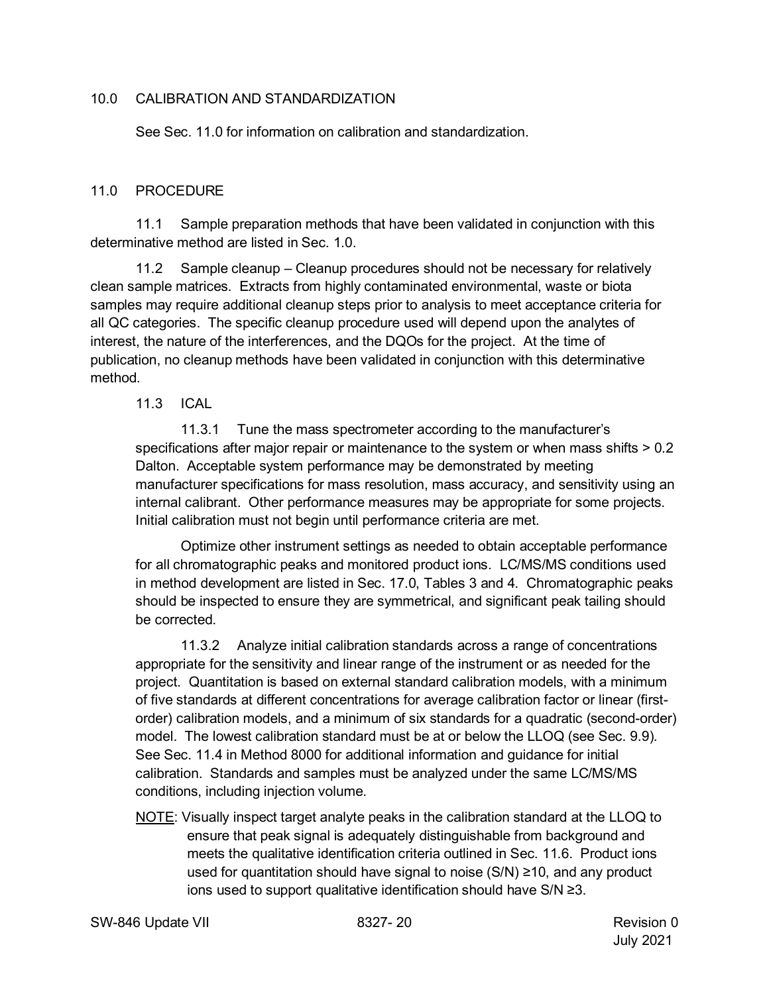#### <span id="page-19-0"></span>10.0 CALIBRATION AND STANDARDIZATION

See Sec. 11.0 for information on calibration and standardization.

#### <span id="page-19-1"></span>11.0 PROCEDURE

11.1 Sample preparation methods that have been validated in conjunction with this determinative method are listed in Sec. 1.0.

11.2 Sample cleanup – Cleanup procedures should not be necessary for relatively clean sample matrices. Extracts from highly contaminated environmental, waste or biota samples may require additional cleanup steps prior to analysis to meet acceptance criteria for all QC categories. The specific cleanup procedure used will depend upon the analytes of interest, the nature of the interferences, and the DQOs for the project. At the time of publication, no cleanup methods have been validated in conjunction with this determinative method.

#### 11.3 ICAL

11.3.1 Tune the mass spectrometer according to the manufacturer's specifications after major repair or maintenance to the system or when mass shifts  $> 0.2$ Dalton. Acceptable system performance may be demonstrated by meeting manufacturer specifications for mass resolution, mass accuracy, and sensitivity using an internal calibrant. Other performance measures may be appropriate for some projects. Initial calibration must not begin until performance criteria are met.

Optimize other instrument settings as needed to obtain acceptable performance for all chromatographic peaks and monitored product ions. LC/MS/MS conditions used in method development are listed in Sec. 17.0, Tables 3 and 4. Chromatographic peaks should be inspected to ensure they are symmetrical, and significant peak tailing should be corrected.

11.3.2 Analyze initial calibration standards across a range of concentrations appropriate for the sensitivity and linear range of the instrument or as needed for the project. Quantitation is based on external standard calibration models, with a minimum of five standards at different concentrations for average calibration factor or linear (firstorder) calibration models, and a minimum of six standards for a quadratic (second-order) model. The lowest calibration standard must be at or below the LLOQ (see Sec. 9.9). See Sec. 11.4 in Method 8000 for additional information and guidance for initial calibration. Standards and samples must be analyzed under the same LC/MS/MS conditions, including injection volume.

NOTE: Visually inspect target analyte peaks in the calibration standard at the LLOQ to ensure that peak signal is adequately distinguishable from background and meets the qualitative identification criteria outlined in Sec. 11.6. Product ions used for quantitation should have signal to noise (S/N) ≥10, and any product ions used to support qualitative identification should have S/N ≥3.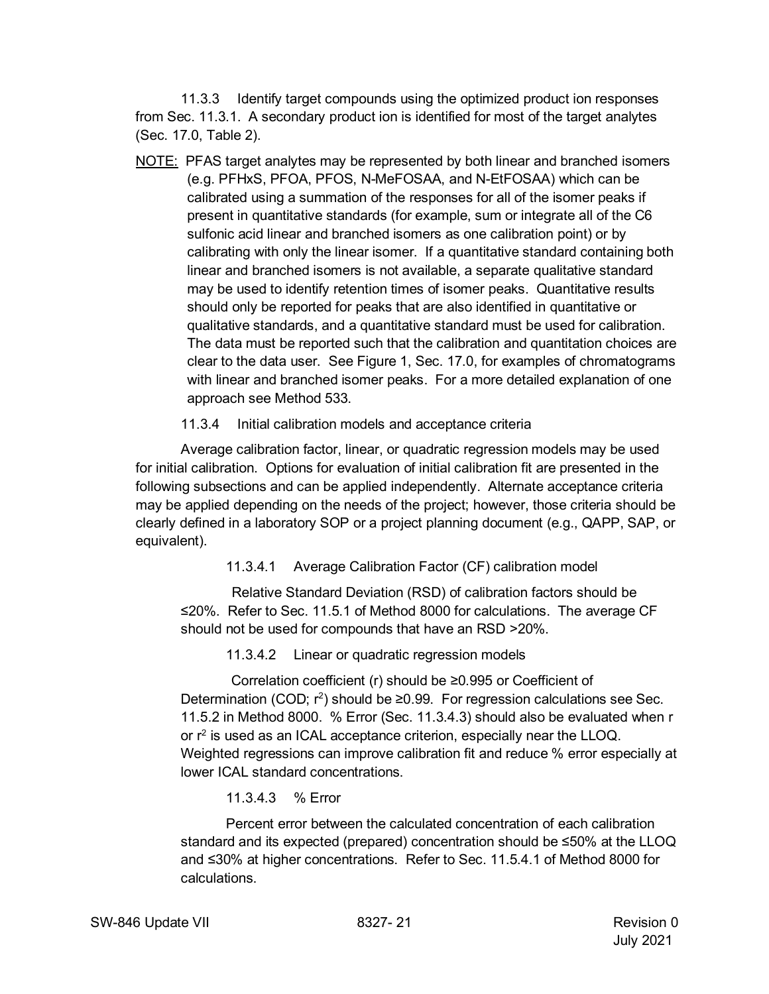11.3.3 Identify target compounds using the optimized product ion responses from Sec. 11.3.1. A secondary product ion is identified for most of the target analytes (Sec. 17.0, Table 2).

NOTE: PFAS target analytes may be represented by both linear and branched isomers (e.g. PFHxS, PFOA, PFOS, N-MeFOSAA, and N-EtFOSAA) which can be calibrated using a summation of the responses for all of the isomer peaks if present in quantitative standards (for example, sum or integrate all of the C6 sulfonic acid linear and branched isomers as one calibration point) or by calibrating with only the linear isomer. If a quantitative standard containing both linear and branched isomers is not available, a separate qualitative standard may be used to identify retention times of isomer peaks. Quantitative results should only be reported for peaks that are also identified in quantitative or qualitative standards, and a quantitative standard must be used for calibration. The data must be reported such that the calibration and quantitation choices are clear to the data user. See Figure 1, Sec. 17.0, for examples of chromatograms with linear and branched isomer peaks. For a more detailed explanation of one approach see Method 533.

### 11.3.4 Initial calibration models and acceptance criteria

Average calibration factor, linear, or quadratic regression models may be used for initial calibration. Options for evaluation of initial calibration fit are presented in the following subsections and can be applied independently. Alternate acceptance criteria may be applied depending on the needs of the project; however, those criteria should be clearly defined in a laboratory SOP or a project planning document (e.g., QAPP, SAP, or equivalent).

11.3.4.1 Average Calibration Factor (CF) calibration model

Relative Standard Deviation (RSD) of calibration factors should be ≤20%. Refer to Sec. 11.5.1 of Method 8000 for calculations. The average CF should not be used for compounds that have an RSD >20%.

11.3.4.2 Linear or quadratic regression models

Correlation coefficient (r) should be ≥0.995 or Coefficient of Determination (COD;  $r^2$ ) should be ≥0.99. For regression calculations see Sec. 11.5.2 in Method 8000. % Error (Sec. 11.3.4.3) should also be evaluated when r or r <sup>2</sup> is used as an ICAL acceptance criterion, especially near the LLOQ. Weighted regressions can improve calibration fit and reduce % error especially at lower ICAL standard concentrations.

11.3.4.3 % Error

Percent error between the calculated concentration of each calibration standard and its expected (prepared) concentration should be ≤50% at the LLOQ and ≤30% at higher concentrations. Refer to Sec. 11.5.4.1 of Method 8000 for calculations.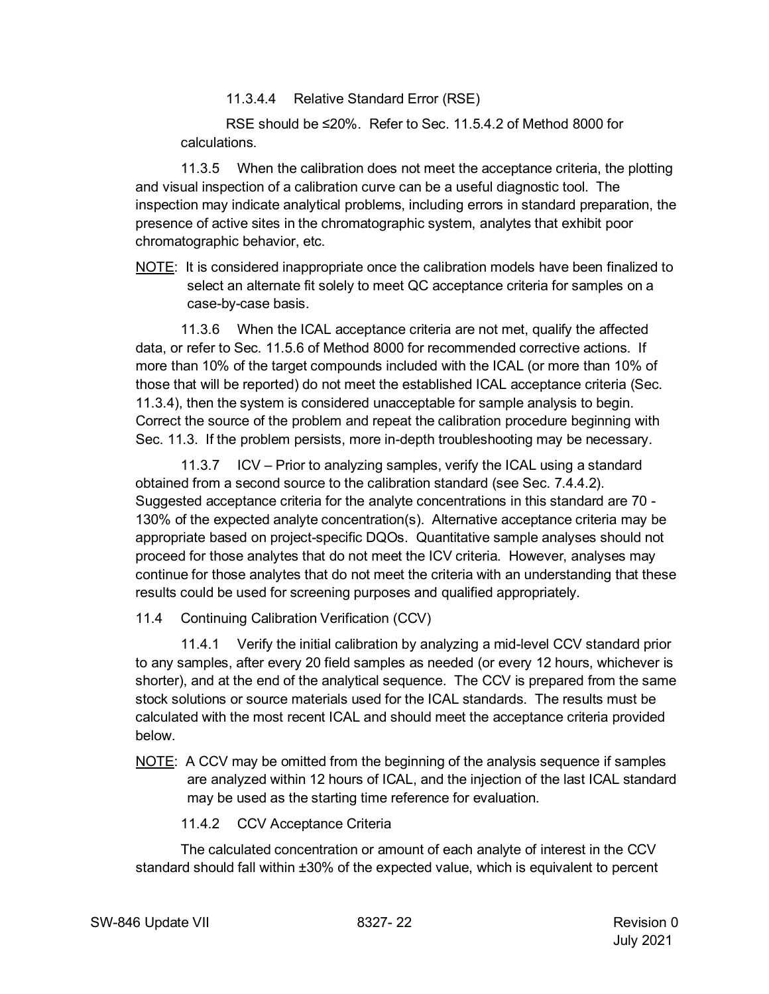11.3.4.4 Relative Standard Error (RSE)

RSE should be ≤20%. Refer to Sec. 11.5.4.2 of Method 8000 for calculations.

11.3.5 When the calibration does not meet the acceptance criteria, the plotting and visual inspection of a calibration curve can be a useful diagnostic tool. The inspection may indicate analytical problems, including errors in standard preparation, the presence of active sites in the chromatographic system, analytes that exhibit poor chromatographic behavior, etc.

NOTE: It is considered inappropriate once the calibration models have been finalized to select an alternate fit solely to meet QC acceptance criteria for samples on a case-by-case basis.

11.3.6 When the ICAL acceptance criteria are not met, qualify the affected data, or refer to Sec. 11.5.6 of Method 8000 for recommended corrective actions. If more than 10% of the target compounds included with the ICAL (or more than 10% of those that will be reported) do not meet the established ICAL acceptance criteria (Sec. 11.3.4), then the system is considered unacceptable for sample analysis to begin. Correct the source of the problem and repeat the calibration procedure beginning with Sec. 11.3. If the problem persists, more in-depth troubleshooting may be necessary.

11.3.7 ICV – Prior to analyzing samples, verify the ICAL using a standard obtained from a second source to the calibration standard (see Sec. 7.4.4.2). Suggested acceptance criteria for the analyte concentrations in this standard are 70 - 130% of the expected analyte concentration(s). Alternative acceptance criteria may be appropriate based on project-specific DQOs. Quantitative sample analyses should not proceed for those analytes that do not meet the ICV criteria. However, analyses may continue for those analytes that do not meet the criteria with an understanding that these results could be used for screening purposes and qualified appropriately.

11.4 Continuing Calibration Verification (CCV)

11.4.1 Verify the initial calibration by analyzing a mid-level CCV standard prior to any samples, after every 20 field samples as needed (or every 12 hours, whichever is shorter), and at the end of the analytical sequence. The CCV is prepared from the same stock solutions or source materials used for the ICAL standards. The results must be calculated with the most recent ICAL and should meet the acceptance criteria provided below.

- NOTE: A CCV may be omitted from the beginning of the analysis sequence if samples are analyzed within 12 hours of ICAL, and the injection of the last ICAL standard may be used as the starting time reference for evaluation.
	- 11.4.2 CCV Acceptance Criteria

The calculated concentration or amount of each analyte of interest in the CCV standard should fall within ±30% of the expected value, which is equivalent to percent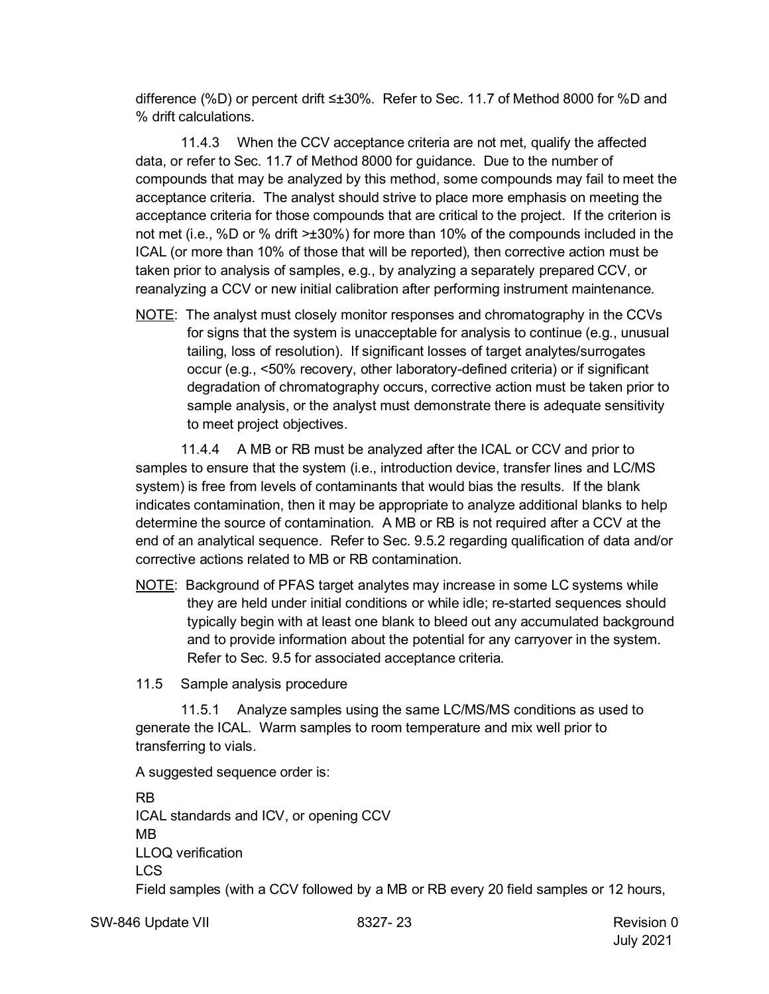difference (%D) or percent drift ≤±30%. Refer to Sec. 11.7 of Method 8000 for %D and % drift calculations.

11.4.3 When the CCV acceptance criteria are not met, qualify the affected data, or refer to Sec. 11.7 of Method 8000 for guidance. Due to the number of compounds that may be analyzed by this method, some compounds may fail to meet the acceptance criteria. The analyst should strive to place more emphasis on meeting the acceptance criteria for those compounds that are critical to the project. If the criterion is not met (i.e., %D or % drift >±30%) for more than 10% of the compounds included in the ICAL (or more than 10% of those that will be reported), then corrective action must be taken prior to analysis of samples, e.g., by analyzing a separately prepared CCV, or reanalyzing a CCV or new initial calibration after performing instrument maintenance.

NOTE: The analyst must closely monitor responses and chromatography in the CCVs for signs that the system is unacceptable for analysis to continue (e.g., unusual tailing, loss of resolution). If significant losses of target analytes/surrogates occur (e.g., <50% recovery, other laboratory-defined criteria) or if significant degradation of chromatography occurs, corrective action must be taken prior to sample analysis, or the analyst must demonstrate there is adequate sensitivity to meet project objectives.

11.4.4 A MB or RB must be analyzed after the ICAL or CCV and prior to samples to ensure that the system (i.e., introduction device, transfer lines and LC/MS system) is free from levels of contaminants that would bias the results. If the blank indicates contamination, then it may be appropriate to analyze additional blanks to help determine the source of contamination. A MB or RB is not required after a CCV at the end of an analytical sequence. Refer to Sec. 9.5.2 regarding qualification of data and/or corrective actions related to MB or RB contamination.

NOTE: Background of PFAS target analytes may increase in some LC systems while they are held under initial conditions or while idle; re-started sequences should typically begin with at least one blank to bleed out any accumulated background and to provide information about the potential for any carryover in the system. Refer to Sec. 9.5 for associated acceptance criteria.

11.5 Sample analysis procedure

11.5.1 Analyze samples using the same LC/MS/MS conditions as used to generate the ICAL. Warm samples to room temperature and mix well prior to transferring to vials.

A suggested sequence order is:

RB ICAL standards and ICV, or opening CCV MB LLOQ verification LCS Field samples (with a CCV followed by a MB or RB every 20 field samples or 12 hours,

SW-846 Update VII 8327- 23 Revision 0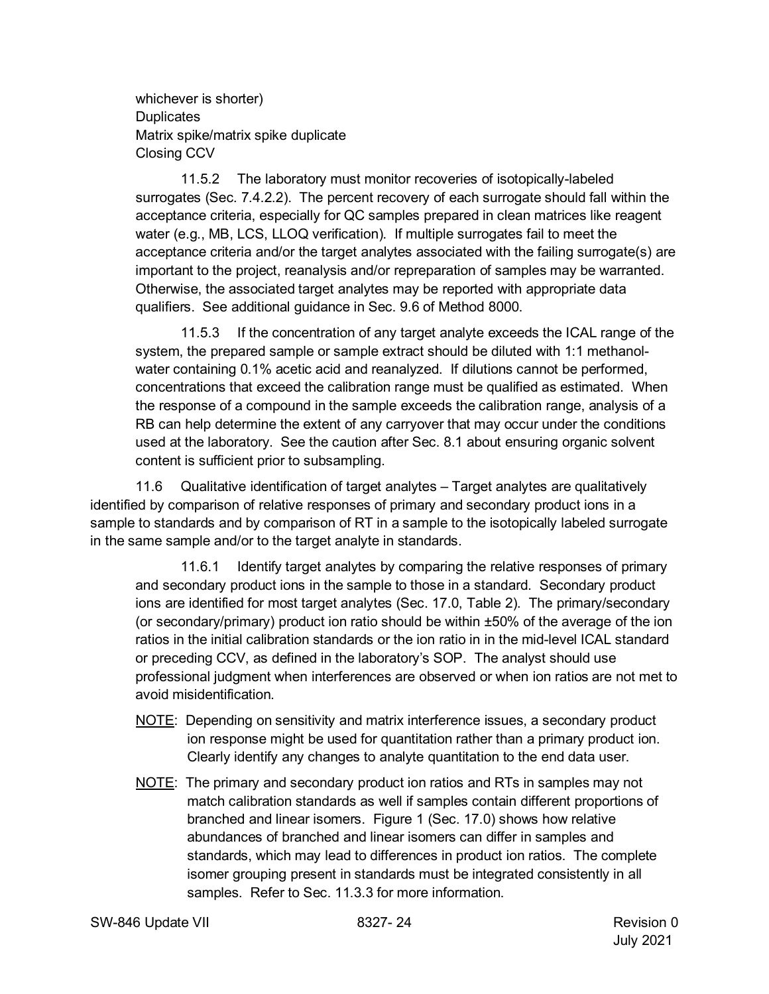whichever is shorter) **Duplicates** Matrix spike/matrix spike duplicate Closing CCV

11.5.2 The laboratory must monitor recoveries of isotopically-labeled surrogates (Sec. 7.4.2.2). The percent recovery of each surrogate should fall within the acceptance criteria, especially for QC samples prepared in clean matrices like reagent water (e.g., MB, LCS, LLOQ verification). If multiple surrogates fail to meet the acceptance criteria and/or the target analytes associated with the failing surrogate(s) are important to the project, reanalysis and/or repreparation of samples may be warranted. Otherwise, the associated target analytes may be reported with appropriate data qualifiers. See additional guidance in Sec. 9.6 of Method 8000.

11.5.3 If the concentration of any target analyte exceeds the ICAL range of the system, the prepared sample or sample extract should be diluted with 1:1 methanolwater containing 0.1% acetic acid and reanalyzed. If dilutions cannot be performed, concentrations that exceed the calibration range must be qualified as estimated. When the response of a compound in the sample exceeds the calibration range, analysis of a RB can help determine the extent of any carryover that may occur under the conditions used at the laboratory. See the caution after Sec. 8.1 about ensuring organic solvent content is sufficient prior to subsampling.

11.6 Qualitative identification of target analytes – Target analytes are qualitatively identified by comparison of relative responses of primary and secondary product ions in a sample to standards and by comparison of RT in a sample to the isotopically labeled surrogate in the same sample and/or to the target analyte in standards.

11.6.1 Identify target analytes by comparing the relative responses of primary and secondary product ions in the sample to those in a standard. Secondary product ions are identified for most target analytes (Sec. 17.0, Table 2). The primary/secondary (or secondary/primary) product ion ratio should be within  $\pm 50\%$  of the average of the ion ratios in the initial calibration standards or the ion ratio in in the mid-level ICAL standard or preceding CCV, as defined in the laboratory's SOP. The analyst should use professional judgment when interferences are observed or when ion ratios are not met to avoid misidentification.

- NOTE: Depending on sensitivity and matrix interference issues, a secondary product ion response might be used for quantitation rather than a primary product ion. Clearly identify any changes to analyte quantitation to the end data user.
- NOTE: The primary and secondary product ion ratios and RTs in samples may not match calibration standards as well if samples contain different proportions of branched and linear isomers. Figure 1 (Sec. 17.0) shows how relative abundances of branched and linear isomers can differ in samples and standards, which may lead to differences in product ion ratios. The complete isomer grouping present in standards must be integrated consistently in all samples. Refer to Sec. 11.3.3 for more information.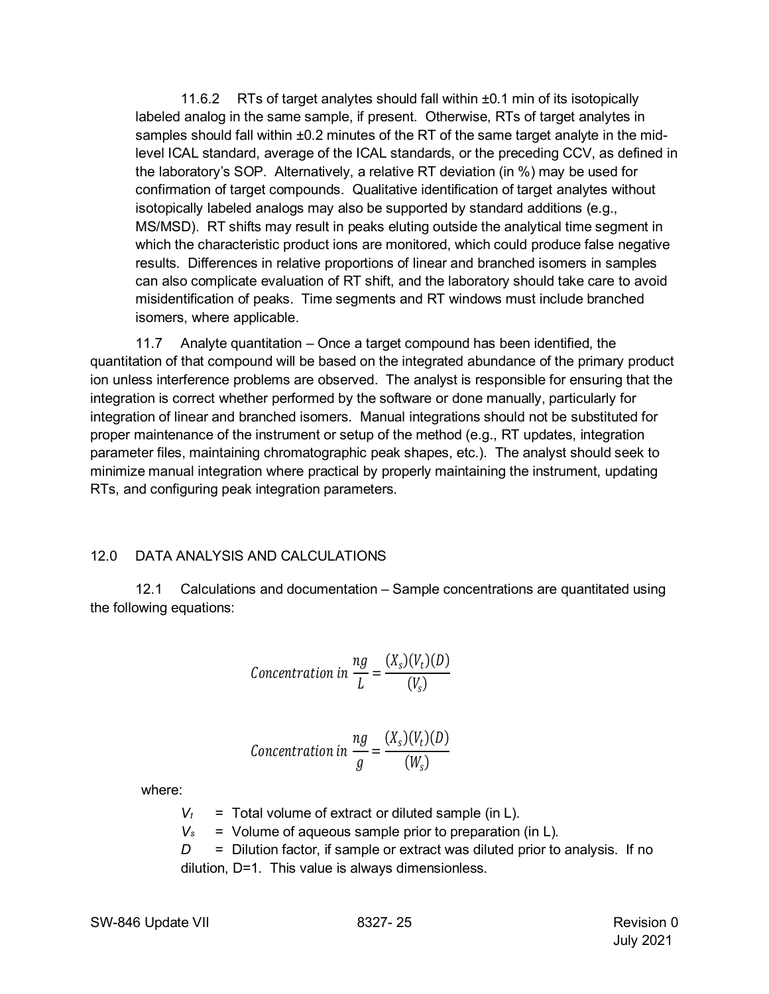11.6.2 RTs of target analytes should fall within ±0.1 min of its isotopically labeled analog in the same sample, if present. Otherwise, RTs of target analytes in samples should fall within  $\pm 0.2$  minutes of the RT of the same target analyte in the midlevel ICAL standard, average of the ICAL standards, or the preceding CCV, as defined in the laboratory's SOP. Alternatively, a relative RT deviation (in %) may be used for confirmation of target compounds. Qualitative identification of target analytes without isotopically labeled analogs may also be supported by standard additions (e.g., MS/MSD). RT shifts may result in peaks eluting outside the analytical time segment in which the characteristic product ions are monitored, which could produce false negative results. Differences in relative proportions of linear and branched isomers in samples can also complicate evaluation of RT shift, and the laboratory should take care to avoid misidentification of peaks. Time segments and RT windows must include branched isomers, where applicable.

11.7 Analyte quantitation – Once a target compound has been identified, the quantitation of that compound will be based on the integrated abundance of the primary product ion unless interference problems are observed. The analyst is responsible for ensuring that the integration is correct whether performed by the software or done manually, particularly for integration of linear and branched isomers. Manual integrations should not be substituted for proper maintenance of the instrument or setup of the method (e.g., RT updates, integration parameter files, maintaining chromatographic peak shapes, etc.). The analyst should seek to minimize manual integration where practical by properly maintaining the instrument, updating RTs, and configuring peak integration parameters.

#### <span id="page-24-0"></span>12.0 DATA ANALYSIS AND CALCULATIONS

12.1 Calculations and documentation – Sample concentrations are quantitated using the following equations:

$$
Concentration in \frac{ng}{L} = \frac{(X_s)(V_t)(D)}{(V_s)}
$$

$$
Concentration in \frac{ng}{g} = \frac{(X_s)(V_t)(D)}{(W_s)}
$$

where:

- $V_t$  = Total volume of extract or diluted sample (in L).
- $V_s$  = Volume of aqueous sample prior to preparation (in L).
- *D* = Dilution factor, if sample or extract was diluted prior to analysis. If no

dilution, D=1. This value is always dimensionless.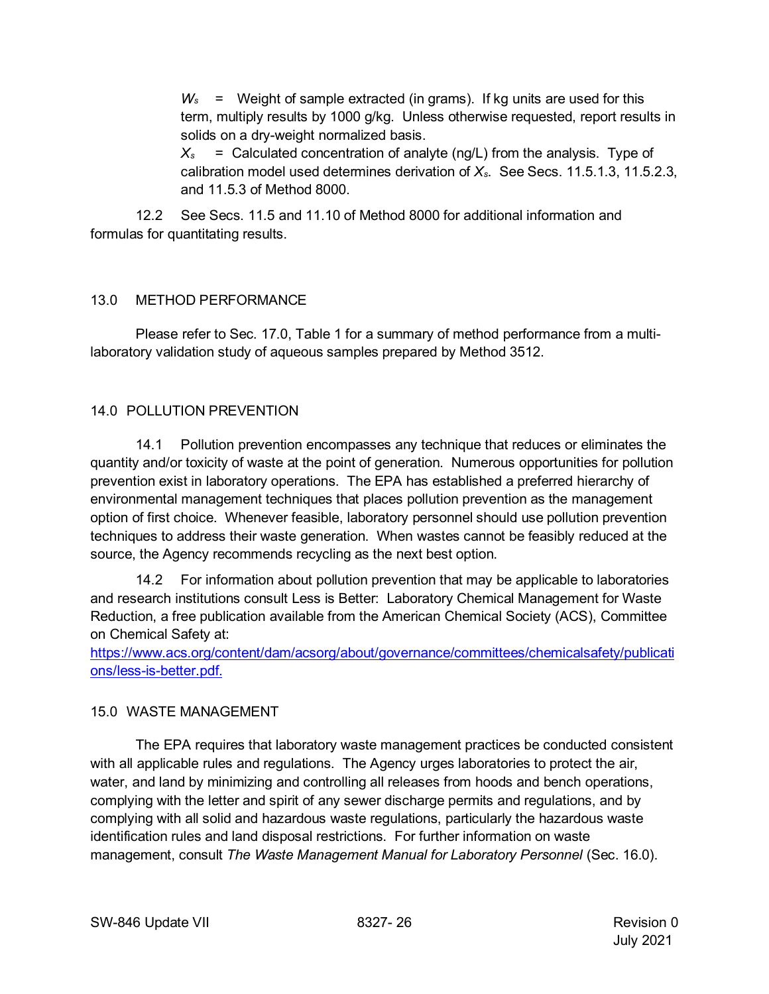*Ws* = Weight of sample extracted (in grams). If kg units are used for this term, multiply results by 1000 g/kg. Unless otherwise requested, report results in solids on a dry-weight normalized basis.

 $X_s$  = Calculated concentration of analyte (ng/L) from the analysis. Type of calibration model used determines derivation of *Xs*. See Secs. 11.5.1.3, 11.5.2.3, and 11.5.3 of Method 8000.

12.2 See Secs. 11.5 and 11.10 of Method 8000 for additional information and formulas for quantitating results.

# <span id="page-25-0"></span>13.0 METHOD PERFORMANCE

Please refer to Sec. 17.0, Table 1 for a summary of method performance from a multilaboratory validation study of aqueous samples prepared by Method 3512.

# <span id="page-25-1"></span>14.0 POLLUTION PREVENTION

14.1 Pollution prevention encompasses any technique that reduces or eliminates the quantity and/or toxicity of waste at the point of generation. Numerous opportunities for pollution prevention exist in laboratory operations. The EPA has established a preferred hierarchy of environmental management techniques that places pollution prevention as the management option of first choice. Whenever feasible, laboratory personnel should use pollution prevention techniques to address their waste generation. When wastes cannot be feasibly reduced at the source, the Agency recommends recycling as the next best option.

14.2 For information about pollution prevention that may be applicable to laboratories and research institutions consult Less is Better: Laboratory Chemical Management for Waste Reduction, a free publication available from the American Chemical Society (ACS), Committee on Chemical Safety at:

[https://www.acs.org/content/dam/acsorg/about/governance/committees/chemicalsafety/publicati](https://www.acs.org/content/dam/acsorg/about/governance/committees/chemicalsafety/publications/less-is-better.pdf) [ons/less-is-better.pdf.](https://www.acs.org/content/dam/acsorg/about/governance/committees/chemicalsafety/publications/less-is-better.pdf)

### <span id="page-25-2"></span>15.0 WASTE MANAGEMENT

<span id="page-25-3"></span>The EPA requires that laboratory waste management practices be conducted consistent with all applicable rules and regulations. The Agency urges laboratories to protect the air, water, and land by minimizing and controlling all releases from hoods and bench operations, complying with the letter and spirit of any sewer discharge permits and regulations, and by complying with all solid and hazardous waste regulations, particularly the hazardous waste identification rules and land disposal restrictions. For further information on waste management, consult *The Waste Management Manual for Laboratory Personnel* (Sec. 16.0).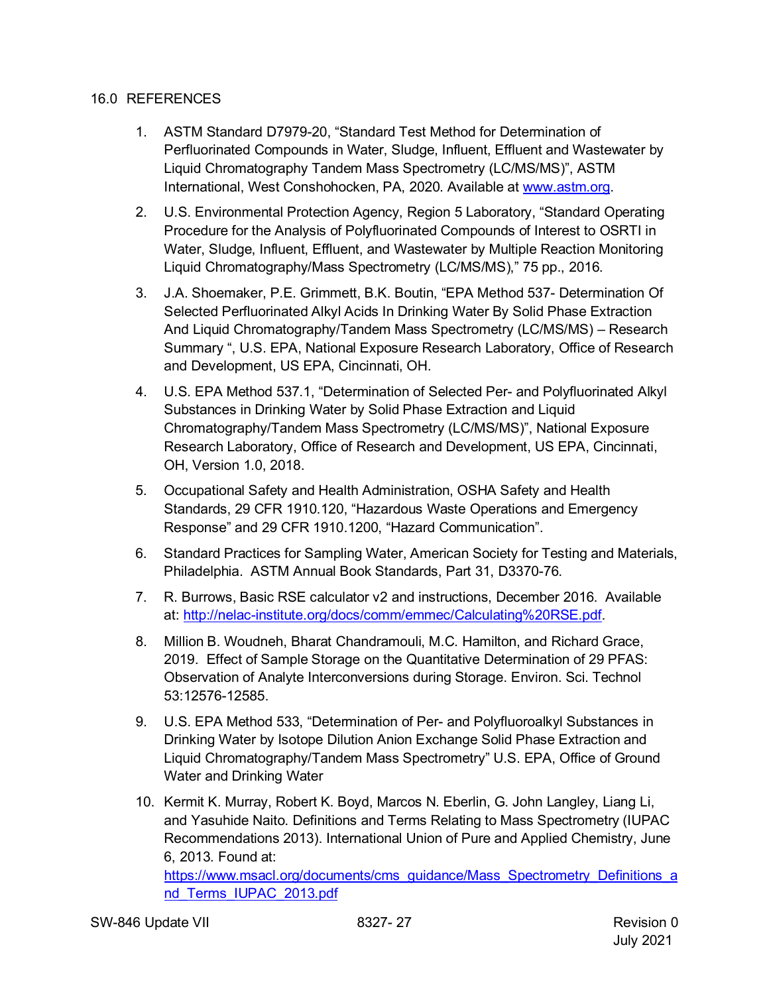#### 16.0 REFERENCES

- 1. ASTM Standard D7979-20, "Standard Test Method for Determination of Perfluorinated Compounds in Water, Sludge, Influent, Effluent and Wastewater by Liquid Chromatography Tandem Mass Spectrometry (LC/MS/MS)", ASTM International, West Conshohocken, PA, 2020. Available at [www.astm.org.](https://gcc02.safelinks.protection.outlook.com/?url=http%3A%2F%2Fwww.astm.org%2F&data=04%7C01%7Cstrock.troy%40epa.gov%7C0c968f057ce34a93a9ee08d90a6d3b86%7C88b378b367484867acf976aacbeca6a7%7C0%7C0%7C637552286524799896%7CUnknown%7CTWFpbGZsb3d8eyJWIjoiMC4wLjAwMDAiLCJQIjoiV2luMzIiLCJBTiI6Ik1haWwiLCJXVCI6Mn0%3D%7C1000&sdata=WVbgrr66A%2BrxDf9%2Bgqema6EB0OsIY0R9639%2FXSs3YcA%3D&reserved=0)
- 2. U.S. Environmental Protection Agency, Region 5 Laboratory, "Standard Operating Procedure for the Analysis of Polyfluorinated Compounds of Interest to OSRTI in Water, Sludge, Influent, Effluent, and Wastewater by Multiple Reaction Monitoring Liquid Chromatography/Mass Spectrometry (LC/MS/MS)," 75 pp., 2016.
- 3. J.A. Shoemaker, P.E. Grimmett, B.K. Boutin, "EPA Method 537- Determination Of Selected Perfluorinated Alkyl Acids In Drinking Water By Solid Phase Extraction And Liquid Chromatography/Tandem Mass Spectrometry (LC/MS/MS) – Research Summary ", U.S. EPA, National Exposure Research Laboratory, Office of Research and Development, US EPA, Cincinnati, OH.
- 4. U.S. EPA Method 537.1, "Determination of Selected Per- and Polyfluorinated Alkyl Substances in Drinking Water by Solid Phase Extraction and Liquid Chromatography/Tandem Mass Spectrometry (LC/MS/MS)", National Exposure Research Laboratory, Office of Research and Development, US EPA, Cincinnati, OH, Version 1.0, 2018.
- 5. Occupational Safety and Health Administration, OSHA Safety and Health Standards, 29 CFR 1910.120, "Hazardous Waste Operations and Emergency Response" and 29 CFR 1910.1200, "Hazard Communication".
- 6. Standard Practices for Sampling Water, American Society for Testing and Materials, Philadelphia. ASTM Annual Book Standards, Part 31, D3370-76.
- 7. R. Burrows, Basic RSE calculator v2 and instructions, December 2016. Available at: [http://nelac-institute.org/docs/comm/emmec/Calculating%20RSE.pdf.](http://nelac-institute.org/docs/comm/emmec/Calculating%20RSE.pdf)
- 8. Million B. Woudneh, Bharat Chandramouli, M.C. Hamilton, and Richard Grace, 2019. Effect of Sample Storage on the Quantitative Determination of 29 PFAS: Observation of Analyte Interconversions during Storage. Environ. Sci. Technol 53:12576-12585.
- 9. U.S. EPA Method 533, "Determination of Per- and Polyfluoroalkyl Substances in Drinking Water by Isotope Dilution Anion Exchange Solid Phase Extraction and Liquid Chromatography/Tandem Mass Spectrometry" U.S. EPA, Office of Ground Water and Drinking Water
- 10. Kermit K. Murray, Robert K. Boyd, Marcos N. Eberlin, G. John Langley, Liang Li, and Yasuhide Naito. Definitions and Terms Relating to Mass Spectrometry (IUPAC Recommendations 2013). International Union of Pure and Applied Chemistry, June 6, 2013. Found at:

[https://www.msacl.org/documents/cms\\_guidance/Mass\\_Spectrometry\\_Definitions\\_a](https://www.msacl.org/documents/cms_guidance/Mass_Spectrometry_Definitions_and_Terms_IUPAC_2013.pdf) nd Terms\_IUPAC\_2013.pdf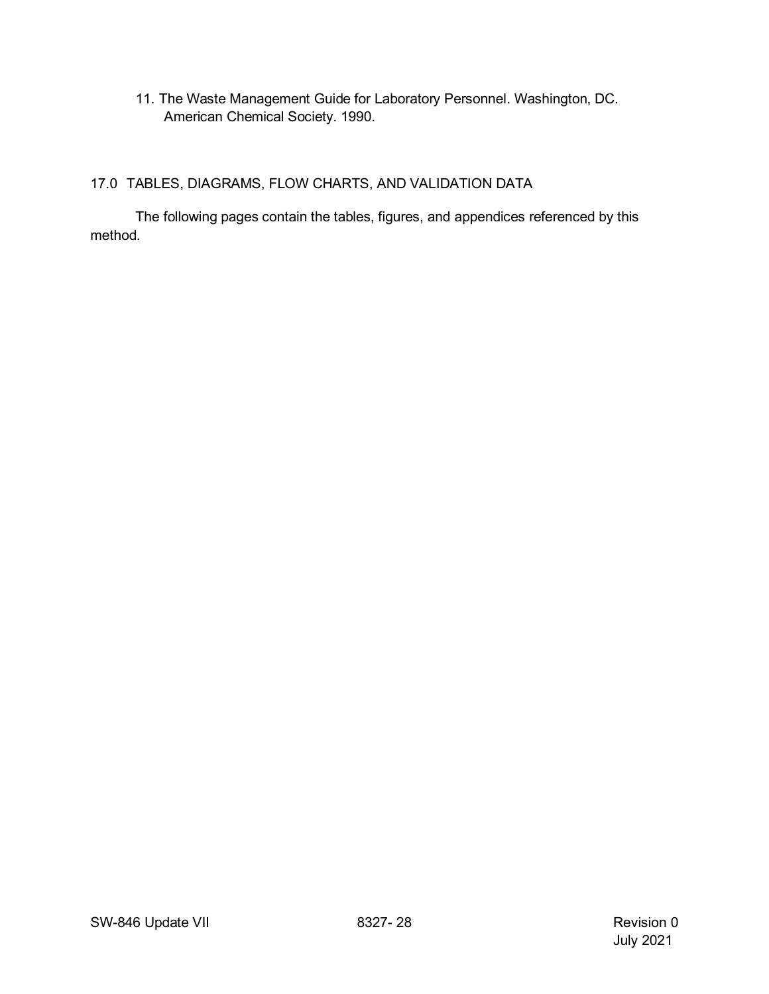11. The Waste Management Guide for Laboratory Personnel. Washington, DC. American Chemical Society. 1990.

## <span id="page-27-0"></span>17.0 TABLES, DIAGRAMS, FLOW CHARTS, AND VALIDATION DATA

The following pages contain the tables, figures, and appendices referenced by this method.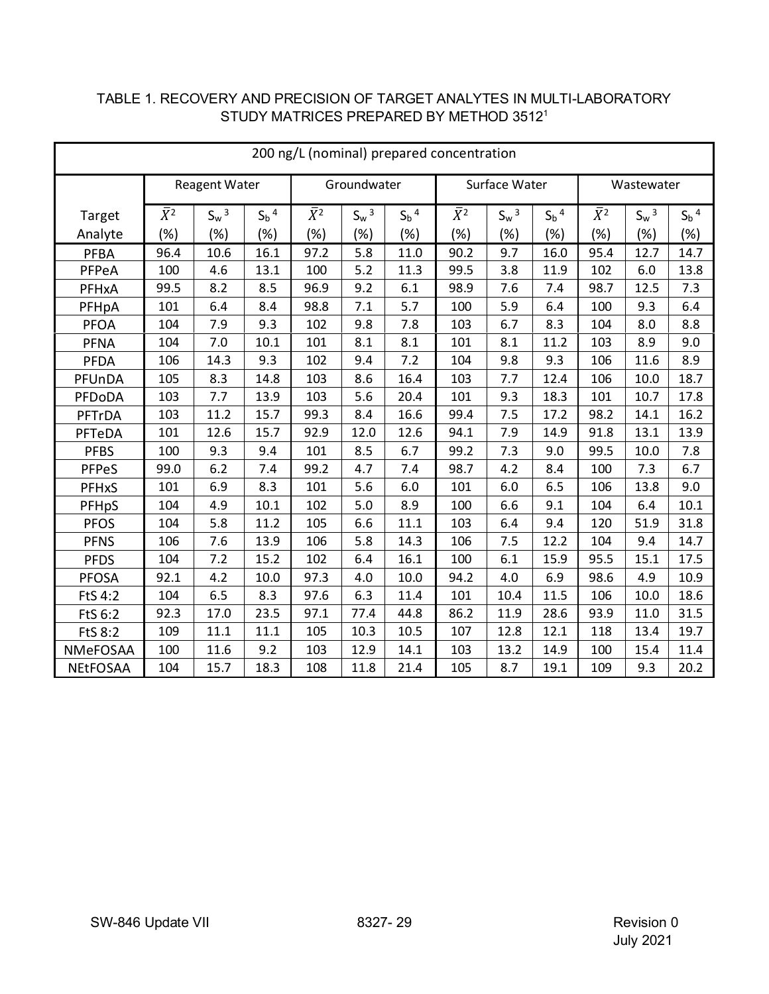| 200 ng/L (nominal) prepared concentration |             |                      |                    |             |             |                    |             |               |                    |             |            |                    |
|-------------------------------------------|-------------|----------------------|--------------------|-------------|-------------|--------------------|-------------|---------------|--------------------|-------------|------------|--------------------|
|                                           |             | <b>Reagent Water</b> |                    |             | Groundwater |                    |             | Surface Water |                    |             | Wastewater |                    |
| Target                                    | $\bar{X}^2$ | $S_w^3$              | $S_b$ <sup>4</sup> | $\bar{X}^2$ | $S_w^3$     | $S_b$ <sup>4</sup> | $\bar{X}^2$ | $S_w^3$       | $S_b$ <sup>4</sup> | $\bar{X}^2$ | $S_w^3$    | $S_b$ <sup>4</sup> |
| Analyte                                   | (%)         | (%)                  | (%)                | (%)         | (%)         | (%)                | (%)         | (%)           | $(\%)$             | (%)         | (%)        | (%)                |
| <b>PFBA</b>                               | 96.4        | 10.6                 | 16.1               | 97.2        | 5.8         | 11.0               | 90.2        | 9.7           | 16.0               | 95.4        | 12.7       | 14.7               |
| PFPeA                                     | 100         | 4.6                  | 13.1               | 100         | 5.2         | 11.3               | 99.5        | 3.8           | 11.9               | 102         | 6.0        | 13.8               |
| PFHxA                                     | 99.5        | 8.2                  | 8.5                | 96.9        | 9.2         | 6.1                | 98.9        | 7.6           | 7.4                | 98.7        | 12.5       | 7.3                |
| PFHpA                                     | 101         | 6.4                  | 8.4                | 98.8        | 7.1         | 5.7                | 100         | 5.9           | 6.4                | 100         | 9.3        | 6.4                |
| <b>PFOA</b>                               | 104         | 7.9                  | 9.3                | 102         | 9.8         | 7.8                | 103         | 6.7           | 8.3                | 104         | 8.0        | 8.8                |
| <b>PFNA</b>                               | 104         | 7.0                  | 10.1               | 101         | 8.1         | 8.1                | 101         | 8.1           | 11.2               | 103         | 8.9        | 9.0                |
| <b>PFDA</b>                               | 106         | 14.3                 | 9.3                | 102         | 9.4         | 7.2                | 104         | 9.8           | 9.3                | 106         | 11.6       | 8.9                |
| PFUnDA                                    | 105         | 8.3                  | 14.8               | 103         | 8.6         | 16.4               | 103         | 7.7           | 12.4               | 106         | 10.0       | 18.7               |
| PFDoDA                                    | 103         | 7.7                  | 13.9               | 103         | 5.6         | 20.4               | 101         | 9.3           | 18.3               | 101         | 10.7       | 17.8               |
| PFTrDA                                    | 103         | 11.2                 | 15.7               | 99.3        | 8.4         | 16.6               | 99.4        | 7.5           | 17.2               | 98.2        | 14.1       | 16.2               |
| PFTeDA                                    | 101         | 12.6                 | 15.7               | 92.9        | 12.0        | 12.6               | 94.1        | 7.9           | 14.9               | 91.8        | 13.1       | 13.9               |
| <b>PFBS</b>                               | 100         | 9.3                  | 9.4                | 101         | 8.5         | 6.7                | 99.2        | 7.3           | 9.0                | 99.5        | 10.0       | 7.8                |
| PFPeS                                     | 99.0        | 6.2                  | 7.4                | 99.2        | 4.7         | 7.4                | 98.7        | 4.2           | 8.4                | 100         | 7.3        | 6.7                |
| <b>PFHxS</b>                              | 101         | 6.9                  | 8.3                | 101         | 5.6         | 6.0                | 101         | 6.0           | 6.5                | 106         | 13.8       | 9.0                |
| PFHpS                                     | 104         | 4.9                  | 10.1               | 102         | 5.0         | 8.9                | 100         | 6.6           | 9.1                | 104         | 6.4        | 10.1               |
| <b>PFOS</b>                               | 104         | 5.8                  | 11.2               | 105         | 6.6         | 11.1               | 103         | 6.4           | 9.4                | 120         | 51.9       | 31.8               |
| <b>PFNS</b>                               | 106         | 7.6                  | 13.9               | 106         | 5.8         | 14.3               | 106         | 7.5           | 12.2               | 104         | 9.4        | 14.7               |
| <b>PFDS</b>                               | 104         | 7.2                  | 15.2               | 102         | 6.4         | 16.1               | 100         | 6.1           | 15.9               | 95.5        | 15.1       | 17.5               |
| <b>PFOSA</b>                              | 92.1        | 4.2                  | 10.0               | 97.3        | 4.0         | 10.0               | 94.2        | 4.0           | 6.9                | 98.6        | 4.9        | 10.9               |
| FtS 4:2                                   | 104         | 6.5                  | 8.3                | 97.6        | 6.3         | 11.4               | 101         | 10.4          | 11.5               | 106         | 10.0       | 18.6               |
| FtS 6:2                                   | 92.3        | 17.0                 | 23.5               | 97.1        | 77.4        | 44.8               | 86.2        | 11.9          | 28.6               | 93.9        | 11.0       | 31.5               |
| <b>FtS 8:2</b>                            | 109         | 11.1                 | 11.1               | 105         | 10.3        | 10.5               | 107         | 12.8          | 12.1               | 118         | 13.4       | 19.7               |
| NMeFOSAA                                  | 100         | 11.6                 | 9.2                | 103         | 12.9        | 14.1               | 103         | 13.2          | 14.9               | 100         | 15.4       | 11.4               |
| <b>NEtFOSAA</b>                           | 104         | 15.7                 | 18.3               | 108         | 11.8        | 21.4               | 105         | 8.7           | 19.1               | 109         | 9.3        | 20.2               |

## <span id="page-28-0"></span>TABLE 1. RECOVERY AND PRECISION OF TARGET ANALYTES IN MULTI-LABORATORY STUDY MATRICES PREPARED BY METHOD 35121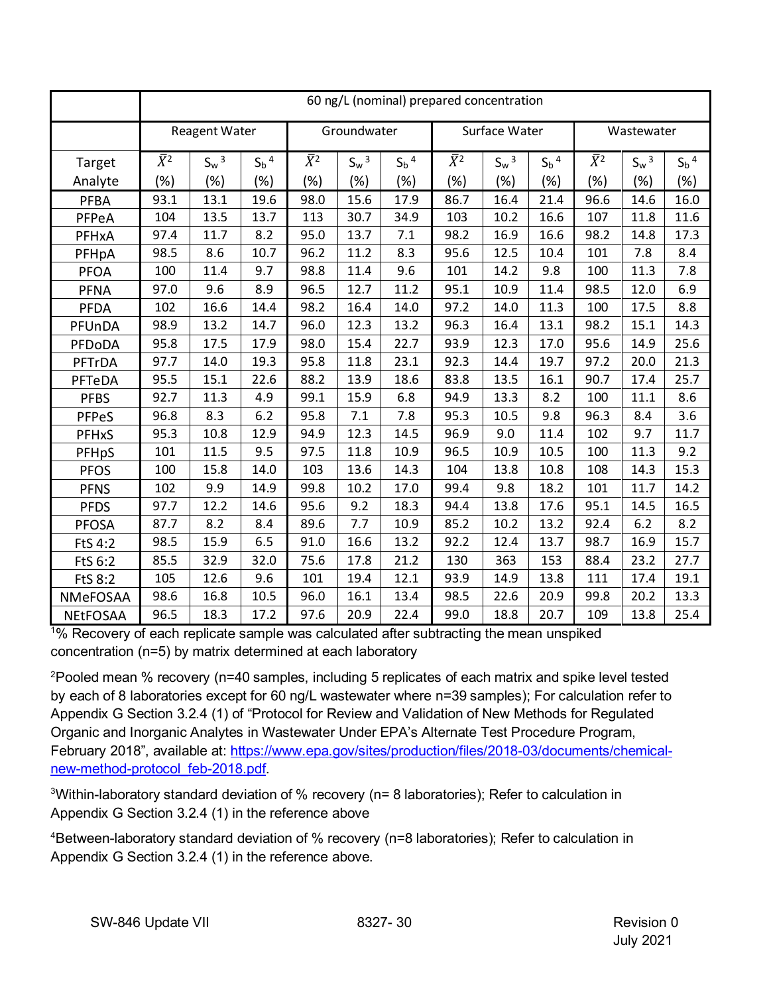|                 | 60 ng/L (nominal) prepared concentration |                      |                    |             |             |                    |             |               |                    |             |            |                    |
|-----------------|------------------------------------------|----------------------|--------------------|-------------|-------------|--------------------|-------------|---------------|--------------------|-------------|------------|--------------------|
|                 |                                          | <b>Reagent Water</b> |                    |             | Groundwater |                    |             | Surface Water |                    |             | Wastewater |                    |
| Target          | $\bar{X}^2$                              | $S_w^3$              | $S_b$ <sup>4</sup> | $\bar{X}^2$ | $S_w^3$     | $S_b$ <sup>4</sup> | $\bar{X}^2$ | $S_w^3$       | $S_b$ <sup>4</sup> | $\bar{X}^2$ | $S_w^3$    | $S_b$ <sup>4</sup> |
| Analyte         | (%)                                      | (%)                  | (%)                | (%)         | (%)         | (%)                | (%)         | (%)           | $(\%)$             | (%)         | (%)        | (%)                |
| PFBA            | 93.1                                     | 13.1                 | 19.6               | 98.0        | 15.6        | 17.9               | 86.7        | 16.4          | 21.4               | 96.6        | 14.6       | 16.0               |
| PFPeA           | 104                                      | 13.5                 | 13.7               | 113         | 30.7        | 34.9               | 103         | 10.2          | 16.6               | 107         | 11.8       | 11.6               |
| PFHxA           | 97.4                                     | 11.7                 | 8.2                | 95.0        | 13.7        | 7.1                | 98.2        | 16.9          | 16.6               | 98.2        | 14.8       | 17.3               |
| PFHpA           | 98.5                                     | 8.6                  | 10.7               | 96.2        | 11.2        | 8.3                | 95.6        | 12.5          | 10.4               | 101         | 7.8        | 8.4                |
| <b>PFOA</b>     | 100                                      | 11.4                 | 9.7                | 98.8        | 11.4        | 9.6                | 101         | 14.2          | 9.8                | 100         | 11.3       | 7.8                |
| <b>PFNA</b>     | 97.0                                     | 9.6                  | 8.9                | 96.5        | 12.7        | 11.2               | 95.1        | 10.9          | 11.4               | 98.5        | 12.0       | 6.9                |
| PFDA            | 102                                      | 16.6                 | 14.4               | 98.2        | 16.4        | 14.0               | 97.2        | 14.0          | 11.3               | 100         | 17.5       | 8.8                |
| PFUnDA          | 98.9                                     | 13.2                 | 14.7               | 96.0        | 12.3        | 13.2               | 96.3        | 16.4          | 13.1               | 98.2        | 15.1       | 14.3               |
| PFDoDA          | 95.8                                     | 17.5                 | 17.9               | 98.0        | 15.4        | 22.7               | 93.9        | 12.3          | 17.0               | 95.6        | 14.9       | 25.6               |
| PFTrDA          | 97.7                                     | 14.0                 | 19.3               | 95.8        | 11.8        | 23.1               | 92.3        | 14.4          | 19.7               | 97.2        | 20.0       | 21.3               |
| PFTeDA          | 95.5                                     | 15.1                 | 22.6               | 88.2        | 13.9        | 18.6               | 83.8        | 13.5          | 16.1               | 90.7        | 17.4       | 25.7               |
| <b>PFBS</b>     | 92.7                                     | 11.3                 | 4.9                | 99.1        | 15.9        | 6.8                | 94.9        | 13.3          | 8.2                | 100         | 11.1       | 8.6                |
| PFPeS           | 96.8                                     | 8.3                  | 6.2                | 95.8        | 7.1         | 7.8                | 95.3        | 10.5          | 9.8                | 96.3        | 8.4        | 3.6                |
| PFHxS           | 95.3                                     | 10.8                 | 12.9               | 94.9        | 12.3        | 14.5               | 96.9        | 9.0           | 11.4               | 102         | 9.7        | 11.7               |
| PFHpS           | 101                                      | 11.5                 | 9.5                | 97.5        | 11.8        | 10.9               | 96.5        | 10.9          | 10.5               | 100         | 11.3       | 9.2                |
| <b>PFOS</b>     | 100                                      | 15.8                 | 14.0               | 103         | 13.6        | 14.3               | 104         | 13.8          | 10.8               | 108         | 14.3       | 15.3               |
| <b>PFNS</b>     | 102                                      | 9.9                  | 14.9               | 99.8        | 10.2        | 17.0               | 99.4        | 9.8           | 18.2               | 101         | 11.7       | 14.2               |
| <b>PFDS</b>     | 97.7                                     | 12.2                 | 14.6               | 95.6        | 9.2         | 18.3               | 94.4        | 13.8          | 17.6               | 95.1        | 14.5       | 16.5               |
| <b>PFOSA</b>    | 87.7                                     | 8.2                  | 8.4                | 89.6        | 7.7         | 10.9               | 85.2        | 10.2          | 13.2               | 92.4        | $6.2$      | 8.2                |
| FtS 4:2         | 98.5                                     | 15.9                 | 6.5                | 91.0        | 16.6        | 13.2               | 92.2        | 12.4          | 13.7               | 98.7        | 16.9       | 15.7               |
| FtS 6:2         | 85.5                                     | 32.9                 | 32.0               | 75.6        | 17.8        | 21.2               | 130         | 363           | 153                | 88.4        | 23.2       | 27.7               |
| <b>FtS 8:2</b>  | 105                                      | 12.6                 | 9.6                | 101         | 19.4        | 12.1               | 93.9        | 14.9          | 13.8               | 111         | 17.4       | 19.1               |
| NMeFOSAA        | 98.6                                     | 16.8                 | 10.5               | 96.0        | 16.1        | 13.4               | 98.5        | 22.6          | 20.9               | 99.8        | 20.2       | 13.3               |
| <b>NEtFOSAA</b> | 96.5                                     | 18.3                 | 17.2               | 97.6        | 20.9        | 22.4               | 99.0        | 18.8          | 20.7               | 109         | 13.8       | 25.4               |

1 % Recovery of each replicate sample was calculated after subtracting the mean unspiked concentration (n=5) by matrix determined at each laboratory

 $^{2}$ Pooled mean % recovery (n=40 samples, including 5 replicates of each matrix and spike level tested by each of 8 laboratories except for 60 ng/L wastewater where n=39 samples); For calculation refer to Appendix G Section 3.2.4 (1) of "Protocol for Review and Validation of New Methods for Regulated Organic and Inorganic Analytes in Wastewater Under EPA's Alternate Test Procedure Program, February 2018", available at: [https://www.epa.gov/sites/production/files/2018-03/documents/chemical](https://www.epa.gov/sites/production/files/2018-03/documents/chemical-new-method-protocol_feb-2018.pdf)[new-method-protocol\\_feb-2018.pdf.](https://www.epa.gov/sites/production/files/2018-03/documents/chemical-new-method-protocol_feb-2018.pdf)

 $3$ Within-laboratory standard deviation of % recovery (n= 8 laboratories); Refer to calculation in Appendix G Section 3.2.4 (1) in the reference above

4 Between-laboratory standard deviation of % recovery (n=8 laboratories); Refer to calculation in Appendix G Section 3.2.4 (1) in the reference above.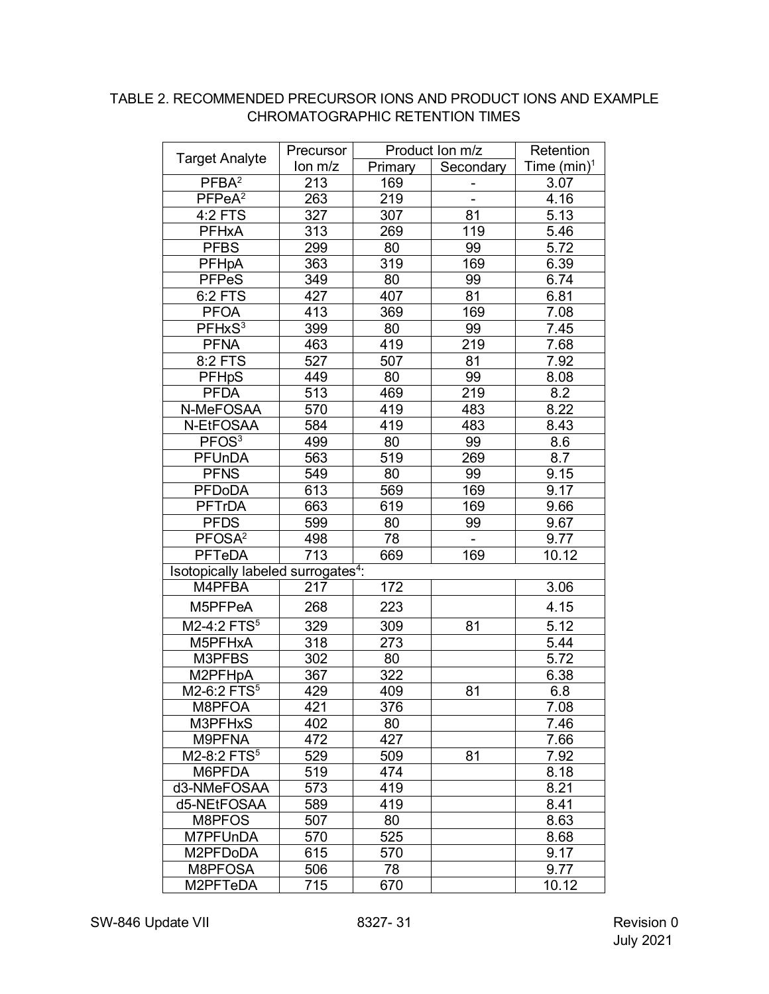### <span id="page-30-0"></span>TABLE 2. RECOMMENDED PRECURSOR IONS AND PRODUCT IONS AND EXAMPLE CHROMATOGRAPHIC RETENTION TIMES

| Time $(min)^1$<br>lon m/z<br>Secondary<br>Primary<br>PFBA <sup>2</sup><br>213<br>169<br>3.07<br>PFPeA <sup>2</sup><br>263<br>219<br>4.16<br>$\blacksquare$<br>4:2 FTS<br>327<br>307<br>5.13<br>81<br>313<br><b>PFHxA</b><br>269<br>119<br>5.46<br><b>PFBS</b><br>80<br>299<br>99<br>5.72<br>319<br>PFHpA<br>363<br>169<br>6.39<br><b>PFPeS</b><br>349<br>80<br>99<br>6.74<br>6:2 FTS<br>427<br>407<br>81<br>6.81<br>413<br><b>PFOA</b><br>369<br>169<br>7.08<br>PFHxS <sup>3</sup><br>399<br>99<br>7.45<br>80<br><b>PFNA</b><br>463<br>219<br>419<br>7.68<br>8:2 FTS<br>527<br>7.92<br>507<br>81<br>449<br>99<br><b>PFHpS</b><br>80<br>8.08<br><b>PFDA</b><br>513<br>219<br>8.2<br>469<br>570<br>8.22<br>N-MeFOSAA<br>419<br>483<br>N-EtFOSAA<br>584<br>419<br>483<br>8.43<br>8.6<br>PFOS <sup>3</sup><br>499<br>99<br>80<br>PFUnDA<br>563<br>519<br>8.7<br>269<br><b>PFNS</b><br>549<br>80<br>99<br>9.15<br>613<br><b>PFDoDA</b><br>569<br>169<br>9.17<br><b>PFTrDA</b><br>663<br>619<br>169<br>9.66<br><b>PFDS</b><br>599<br>9.67<br>80<br>99<br>PFOSA <sup>2</sup><br>498<br>9.77<br>78<br>713<br><b>PFTeDA</b><br>10.12<br>169<br>669<br>Isotopically labeled surrogates <sup>4</sup> :<br>M4PFBA<br>217<br>172<br>3.06<br>223<br>M5PFPeA<br>268<br>4.15<br>M2-4:2 FTS <sup>5</sup><br>5.12<br>329<br>309<br>81<br>318<br>M5PFHxA<br>273<br>5.44<br>M3PFBS<br>302<br>80<br>5.72<br>M2PFHpA<br>322<br>367<br>6.38<br>M2-6:2 FTS <sup>5</sup><br>429<br>409<br>81<br>6.8<br>376<br>M8PFOA<br>421<br>7.08<br>402<br>M3PFHxS<br>80<br>7.46<br>472<br>427<br>M9PFNA<br>7.66<br>M2-8:2 FTS <sup>5</sup><br>529<br>509<br>81<br>7.92<br>M6PFDA<br>519<br>474<br>8.18<br>8.21<br>d3-NMeFOSAA<br>573<br>419<br>d5-NEtFOSAA<br>419<br>8.41<br>589<br>M8PFOS<br>8.63<br>507<br>80<br>M7PFUnDA<br>525<br>570<br>8.68<br>M2PFDoDA<br>615<br>9.17<br>570<br>M8PFOSA<br>506<br>78<br>9.77 | <b>Target Analyte</b> | Precursor | Product Ion m/z |  | Retention |
|--------------------------------------------------------------------------------------------------------------------------------------------------------------------------------------------------------------------------------------------------------------------------------------------------------------------------------------------------------------------------------------------------------------------------------------------------------------------------------------------------------------------------------------------------------------------------------------------------------------------------------------------------------------------------------------------------------------------------------------------------------------------------------------------------------------------------------------------------------------------------------------------------------------------------------------------------------------------------------------------------------------------------------------------------------------------------------------------------------------------------------------------------------------------------------------------------------------------------------------------------------------------------------------------------------------------------------------------------------------------------------------------------------------------------------------------------------------------------------------------------------------------------------------------------------------------------------------------------------------------------------------------------------------------------------------------------------------------------------------------------------------------------------------------------------------------------------------------------------------------------------|-----------------------|-----------|-----------------|--|-----------|
|                                                                                                                                                                                                                                                                                                                                                                                                                                                                                                                                                                                                                                                                                                                                                                                                                                                                                                                                                                                                                                                                                                                                                                                                                                                                                                                                                                                                                                                                                                                                                                                                                                                                                                                                                                                                                                                                                |                       |           |                 |  |           |
|                                                                                                                                                                                                                                                                                                                                                                                                                                                                                                                                                                                                                                                                                                                                                                                                                                                                                                                                                                                                                                                                                                                                                                                                                                                                                                                                                                                                                                                                                                                                                                                                                                                                                                                                                                                                                                                                                |                       |           |                 |  |           |
|                                                                                                                                                                                                                                                                                                                                                                                                                                                                                                                                                                                                                                                                                                                                                                                                                                                                                                                                                                                                                                                                                                                                                                                                                                                                                                                                                                                                                                                                                                                                                                                                                                                                                                                                                                                                                                                                                |                       |           |                 |  |           |
|                                                                                                                                                                                                                                                                                                                                                                                                                                                                                                                                                                                                                                                                                                                                                                                                                                                                                                                                                                                                                                                                                                                                                                                                                                                                                                                                                                                                                                                                                                                                                                                                                                                                                                                                                                                                                                                                                |                       |           |                 |  |           |
|                                                                                                                                                                                                                                                                                                                                                                                                                                                                                                                                                                                                                                                                                                                                                                                                                                                                                                                                                                                                                                                                                                                                                                                                                                                                                                                                                                                                                                                                                                                                                                                                                                                                                                                                                                                                                                                                                |                       |           |                 |  |           |
|                                                                                                                                                                                                                                                                                                                                                                                                                                                                                                                                                                                                                                                                                                                                                                                                                                                                                                                                                                                                                                                                                                                                                                                                                                                                                                                                                                                                                                                                                                                                                                                                                                                                                                                                                                                                                                                                                |                       |           |                 |  |           |
|                                                                                                                                                                                                                                                                                                                                                                                                                                                                                                                                                                                                                                                                                                                                                                                                                                                                                                                                                                                                                                                                                                                                                                                                                                                                                                                                                                                                                                                                                                                                                                                                                                                                                                                                                                                                                                                                                |                       |           |                 |  |           |
|                                                                                                                                                                                                                                                                                                                                                                                                                                                                                                                                                                                                                                                                                                                                                                                                                                                                                                                                                                                                                                                                                                                                                                                                                                                                                                                                                                                                                                                                                                                                                                                                                                                                                                                                                                                                                                                                                |                       |           |                 |  |           |
|                                                                                                                                                                                                                                                                                                                                                                                                                                                                                                                                                                                                                                                                                                                                                                                                                                                                                                                                                                                                                                                                                                                                                                                                                                                                                                                                                                                                                                                                                                                                                                                                                                                                                                                                                                                                                                                                                |                       |           |                 |  |           |
|                                                                                                                                                                                                                                                                                                                                                                                                                                                                                                                                                                                                                                                                                                                                                                                                                                                                                                                                                                                                                                                                                                                                                                                                                                                                                                                                                                                                                                                                                                                                                                                                                                                                                                                                                                                                                                                                                |                       |           |                 |  |           |
|                                                                                                                                                                                                                                                                                                                                                                                                                                                                                                                                                                                                                                                                                                                                                                                                                                                                                                                                                                                                                                                                                                                                                                                                                                                                                                                                                                                                                                                                                                                                                                                                                                                                                                                                                                                                                                                                                |                       |           |                 |  |           |
|                                                                                                                                                                                                                                                                                                                                                                                                                                                                                                                                                                                                                                                                                                                                                                                                                                                                                                                                                                                                                                                                                                                                                                                                                                                                                                                                                                                                                                                                                                                                                                                                                                                                                                                                                                                                                                                                                |                       |           |                 |  |           |
|                                                                                                                                                                                                                                                                                                                                                                                                                                                                                                                                                                                                                                                                                                                                                                                                                                                                                                                                                                                                                                                                                                                                                                                                                                                                                                                                                                                                                                                                                                                                                                                                                                                                                                                                                                                                                                                                                |                       |           |                 |  |           |
|                                                                                                                                                                                                                                                                                                                                                                                                                                                                                                                                                                                                                                                                                                                                                                                                                                                                                                                                                                                                                                                                                                                                                                                                                                                                                                                                                                                                                                                                                                                                                                                                                                                                                                                                                                                                                                                                                |                       |           |                 |  |           |
|                                                                                                                                                                                                                                                                                                                                                                                                                                                                                                                                                                                                                                                                                                                                                                                                                                                                                                                                                                                                                                                                                                                                                                                                                                                                                                                                                                                                                                                                                                                                                                                                                                                                                                                                                                                                                                                                                |                       |           |                 |  |           |
|                                                                                                                                                                                                                                                                                                                                                                                                                                                                                                                                                                                                                                                                                                                                                                                                                                                                                                                                                                                                                                                                                                                                                                                                                                                                                                                                                                                                                                                                                                                                                                                                                                                                                                                                                                                                                                                                                |                       |           |                 |  |           |
|                                                                                                                                                                                                                                                                                                                                                                                                                                                                                                                                                                                                                                                                                                                                                                                                                                                                                                                                                                                                                                                                                                                                                                                                                                                                                                                                                                                                                                                                                                                                                                                                                                                                                                                                                                                                                                                                                |                       |           |                 |  |           |
|                                                                                                                                                                                                                                                                                                                                                                                                                                                                                                                                                                                                                                                                                                                                                                                                                                                                                                                                                                                                                                                                                                                                                                                                                                                                                                                                                                                                                                                                                                                                                                                                                                                                                                                                                                                                                                                                                |                       |           |                 |  |           |
|                                                                                                                                                                                                                                                                                                                                                                                                                                                                                                                                                                                                                                                                                                                                                                                                                                                                                                                                                                                                                                                                                                                                                                                                                                                                                                                                                                                                                                                                                                                                                                                                                                                                                                                                                                                                                                                                                |                       |           |                 |  |           |
|                                                                                                                                                                                                                                                                                                                                                                                                                                                                                                                                                                                                                                                                                                                                                                                                                                                                                                                                                                                                                                                                                                                                                                                                                                                                                                                                                                                                                                                                                                                                                                                                                                                                                                                                                                                                                                                                                |                       |           |                 |  |           |
|                                                                                                                                                                                                                                                                                                                                                                                                                                                                                                                                                                                                                                                                                                                                                                                                                                                                                                                                                                                                                                                                                                                                                                                                                                                                                                                                                                                                                                                                                                                                                                                                                                                                                                                                                                                                                                                                                |                       |           |                 |  |           |
|                                                                                                                                                                                                                                                                                                                                                                                                                                                                                                                                                                                                                                                                                                                                                                                                                                                                                                                                                                                                                                                                                                                                                                                                                                                                                                                                                                                                                                                                                                                                                                                                                                                                                                                                                                                                                                                                                |                       |           |                 |  |           |
|                                                                                                                                                                                                                                                                                                                                                                                                                                                                                                                                                                                                                                                                                                                                                                                                                                                                                                                                                                                                                                                                                                                                                                                                                                                                                                                                                                                                                                                                                                                                                                                                                                                                                                                                                                                                                                                                                |                       |           |                 |  |           |
|                                                                                                                                                                                                                                                                                                                                                                                                                                                                                                                                                                                                                                                                                                                                                                                                                                                                                                                                                                                                                                                                                                                                                                                                                                                                                                                                                                                                                                                                                                                                                                                                                                                                                                                                                                                                                                                                                |                       |           |                 |  |           |
|                                                                                                                                                                                                                                                                                                                                                                                                                                                                                                                                                                                                                                                                                                                                                                                                                                                                                                                                                                                                                                                                                                                                                                                                                                                                                                                                                                                                                                                                                                                                                                                                                                                                                                                                                                                                                                                                                |                       |           |                 |  |           |
|                                                                                                                                                                                                                                                                                                                                                                                                                                                                                                                                                                                                                                                                                                                                                                                                                                                                                                                                                                                                                                                                                                                                                                                                                                                                                                                                                                                                                                                                                                                                                                                                                                                                                                                                                                                                                                                                                |                       |           |                 |  |           |
|                                                                                                                                                                                                                                                                                                                                                                                                                                                                                                                                                                                                                                                                                                                                                                                                                                                                                                                                                                                                                                                                                                                                                                                                                                                                                                                                                                                                                                                                                                                                                                                                                                                                                                                                                                                                                                                                                |                       |           |                 |  |           |
|                                                                                                                                                                                                                                                                                                                                                                                                                                                                                                                                                                                                                                                                                                                                                                                                                                                                                                                                                                                                                                                                                                                                                                                                                                                                                                                                                                                                                                                                                                                                                                                                                                                                                                                                                                                                                                                                                |                       |           |                 |  |           |
|                                                                                                                                                                                                                                                                                                                                                                                                                                                                                                                                                                                                                                                                                                                                                                                                                                                                                                                                                                                                                                                                                                                                                                                                                                                                                                                                                                                                                                                                                                                                                                                                                                                                                                                                                                                                                                                                                |                       |           |                 |  |           |
|                                                                                                                                                                                                                                                                                                                                                                                                                                                                                                                                                                                                                                                                                                                                                                                                                                                                                                                                                                                                                                                                                                                                                                                                                                                                                                                                                                                                                                                                                                                                                                                                                                                                                                                                                                                                                                                                                |                       |           |                 |  |           |
|                                                                                                                                                                                                                                                                                                                                                                                                                                                                                                                                                                                                                                                                                                                                                                                                                                                                                                                                                                                                                                                                                                                                                                                                                                                                                                                                                                                                                                                                                                                                                                                                                                                                                                                                                                                                                                                                                |                       |           |                 |  |           |
|                                                                                                                                                                                                                                                                                                                                                                                                                                                                                                                                                                                                                                                                                                                                                                                                                                                                                                                                                                                                                                                                                                                                                                                                                                                                                                                                                                                                                                                                                                                                                                                                                                                                                                                                                                                                                                                                                |                       |           |                 |  |           |
|                                                                                                                                                                                                                                                                                                                                                                                                                                                                                                                                                                                                                                                                                                                                                                                                                                                                                                                                                                                                                                                                                                                                                                                                                                                                                                                                                                                                                                                                                                                                                                                                                                                                                                                                                                                                                                                                                |                       |           |                 |  |           |
|                                                                                                                                                                                                                                                                                                                                                                                                                                                                                                                                                                                                                                                                                                                                                                                                                                                                                                                                                                                                                                                                                                                                                                                                                                                                                                                                                                                                                                                                                                                                                                                                                                                                                                                                                                                                                                                                                |                       |           |                 |  |           |
|                                                                                                                                                                                                                                                                                                                                                                                                                                                                                                                                                                                                                                                                                                                                                                                                                                                                                                                                                                                                                                                                                                                                                                                                                                                                                                                                                                                                                                                                                                                                                                                                                                                                                                                                                                                                                                                                                |                       |           |                 |  |           |
|                                                                                                                                                                                                                                                                                                                                                                                                                                                                                                                                                                                                                                                                                                                                                                                                                                                                                                                                                                                                                                                                                                                                                                                                                                                                                                                                                                                                                                                                                                                                                                                                                                                                                                                                                                                                                                                                                |                       |           |                 |  |           |
|                                                                                                                                                                                                                                                                                                                                                                                                                                                                                                                                                                                                                                                                                                                                                                                                                                                                                                                                                                                                                                                                                                                                                                                                                                                                                                                                                                                                                                                                                                                                                                                                                                                                                                                                                                                                                                                                                |                       |           |                 |  |           |
|                                                                                                                                                                                                                                                                                                                                                                                                                                                                                                                                                                                                                                                                                                                                                                                                                                                                                                                                                                                                                                                                                                                                                                                                                                                                                                                                                                                                                                                                                                                                                                                                                                                                                                                                                                                                                                                                                |                       |           |                 |  |           |
|                                                                                                                                                                                                                                                                                                                                                                                                                                                                                                                                                                                                                                                                                                                                                                                                                                                                                                                                                                                                                                                                                                                                                                                                                                                                                                                                                                                                                                                                                                                                                                                                                                                                                                                                                                                                                                                                                |                       |           |                 |  |           |
|                                                                                                                                                                                                                                                                                                                                                                                                                                                                                                                                                                                                                                                                                                                                                                                                                                                                                                                                                                                                                                                                                                                                                                                                                                                                                                                                                                                                                                                                                                                                                                                                                                                                                                                                                                                                                                                                                |                       |           |                 |  |           |
|                                                                                                                                                                                                                                                                                                                                                                                                                                                                                                                                                                                                                                                                                                                                                                                                                                                                                                                                                                                                                                                                                                                                                                                                                                                                                                                                                                                                                                                                                                                                                                                                                                                                                                                                                                                                                                                                                |                       |           |                 |  |           |
|                                                                                                                                                                                                                                                                                                                                                                                                                                                                                                                                                                                                                                                                                                                                                                                                                                                                                                                                                                                                                                                                                                                                                                                                                                                                                                                                                                                                                                                                                                                                                                                                                                                                                                                                                                                                                                                                                |                       |           |                 |  |           |
|                                                                                                                                                                                                                                                                                                                                                                                                                                                                                                                                                                                                                                                                                                                                                                                                                                                                                                                                                                                                                                                                                                                                                                                                                                                                                                                                                                                                                                                                                                                                                                                                                                                                                                                                                                                                                                                                                |                       |           |                 |  |           |
|                                                                                                                                                                                                                                                                                                                                                                                                                                                                                                                                                                                                                                                                                                                                                                                                                                                                                                                                                                                                                                                                                                                                                                                                                                                                                                                                                                                                                                                                                                                                                                                                                                                                                                                                                                                                                                                                                |                       |           |                 |  |           |
|                                                                                                                                                                                                                                                                                                                                                                                                                                                                                                                                                                                                                                                                                                                                                                                                                                                                                                                                                                                                                                                                                                                                                                                                                                                                                                                                                                                                                                                                                                                                                                                                                                                                                                                                                                                                                                                                                | M2PFTeDA              | 715       | 670             |  | 10.12     |

SW-846 Update VII 8327- 31 Revision 0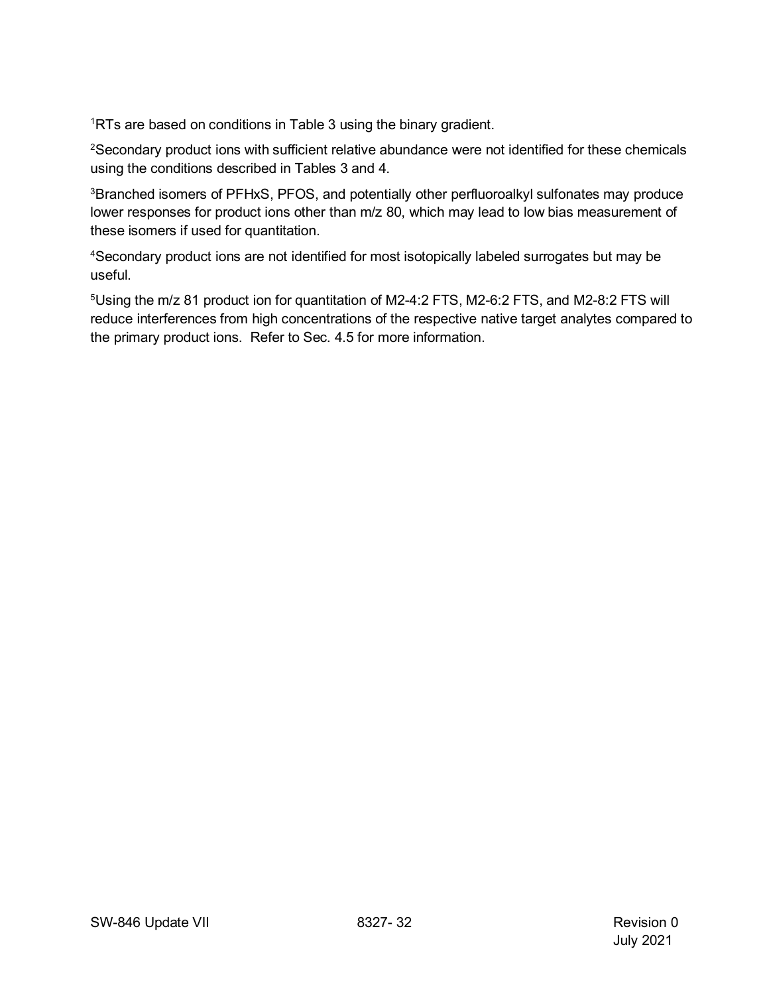<sup>1</sup>RTs are based on conditions in Table 3 using the binary gradient.

2Secondary product ions with sufficient relative abundance were not identified for these chemicals using the conditions described in Tables 3 and 4.

<sup>3</sup>Branched isomers of PFHxS, PFOS, and potentially other perfluoroalkyl sulfonates may produce lower responses for product ions other than m/z 80, which may lead to low bias measurement of these isomers if used for quantitation.

4Secondary product ions are not identified for most isotopically labeled surrogates but may be useful.

 $^5$ Using the m/z 81 product ion for quantitation of M2-4:2 FTS, M2-6:2 FTS, and M2-8:2 FTS will reduce interferences from high concentrations of the respective native target analytes compared to the primary product ions. Refer to Sec. 4.5 for more information.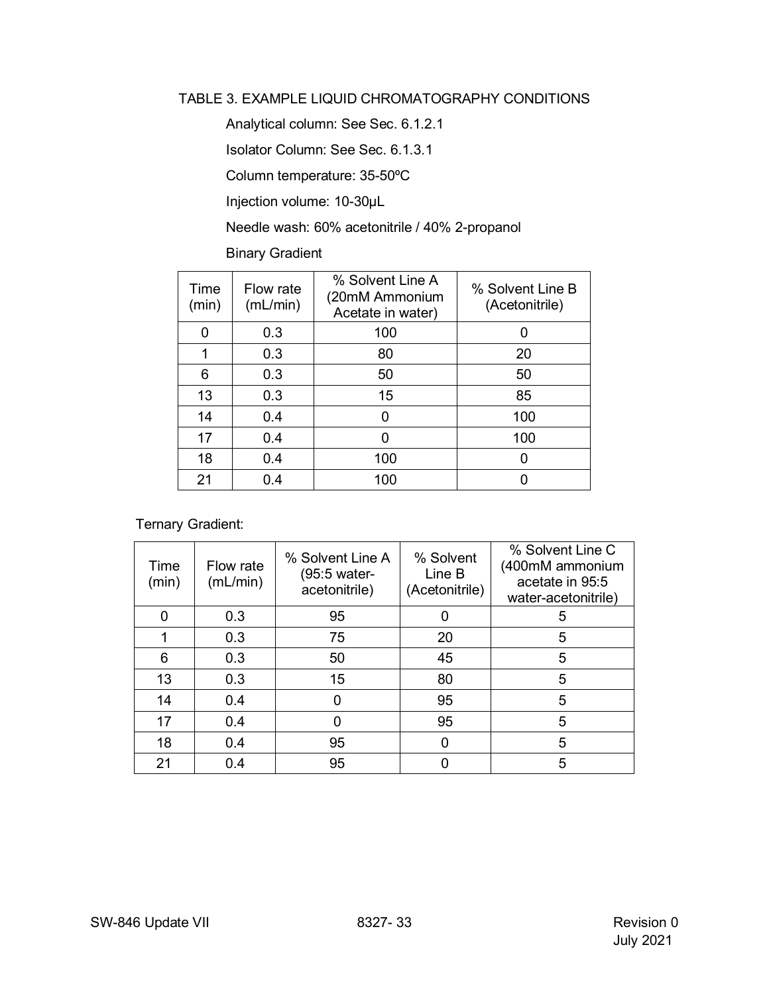#### <span id="page-32-0"></span>TABLE 3. EXAMPLE LIQUID CHROMATOGRAPHY CONDITIONS

Analytical column: See Sec. 6.1.2.1

Isolator Column: See Sec. 6.1.3.1

Column temperature: 35-50ºC

Injection volume: 10-30µL

Needle wash: 60% acetonitrile / 40% 2-propanol

Binary Gradient

| Time<br>(min) | Flow rate<br>(mL/min) | % Solvent Line A<br>(20mM Ammonium<br>Acetate in water) | % Solvent Line B<br>(Acetonitrile) |
|---------------|-----------------------|---------------------------------------------------------|------------------------------------|
| 0             | 0.3                   | 100                                                     |                                    |
|               | 0.3                   | 80                                                      | 20                                 |
| 6             | 0.3                   | 50                                                      | 50                                 |
| 13            | 0.3                   | 15                                                      | 85                                 |
| 14            | 0.4                   | n                                                       | 100                                |
| 17            | 0.4                   |                                                         | 100                                |
| 18            | 0.4                   | 100                                                     |                                    |
| 21            | 0.4                   | 100                                                     |                                    |

Ternary Gradient:

| Time<br>(min) | Flow rate<br>(mL/min) | % Solvent Line A<br>(95:5 water-<br>acetonitrile) | % Solvent<br>Line B<br>(Acetonitrile) | % Solvent Line C<br>(400mM ammonium<br>acetate in 95:5<br>water-acetonitrile) |
|---------------|-----------------------|---------------------------------------------------|---------------------------------------|-------------------------------------------------------------------------------|
|               | 0.3                   | 95                                                |                                       | 5                                                                             |
|               | 0.3                   | 75                                                | 20                                    | 5                                                                             |
| 6             | 0.3                   | 50                                                | 45                                    | 5                                                                             |
| 13            | 0.3                   | 15                                                | 80                                    | 5                                                                             |
| 14            | 0.4                   | O                                                 | 95                                    | 5                                                                             |
| 17            | 0.4                   |                                                   | 95                                    | 5                                                                             |
| 18            | 0.4                   | 95                                                | ŋ                                     | 5                                                                             |
| 21            | 0.4                   | 95                                                |                                       | 5                                                                             |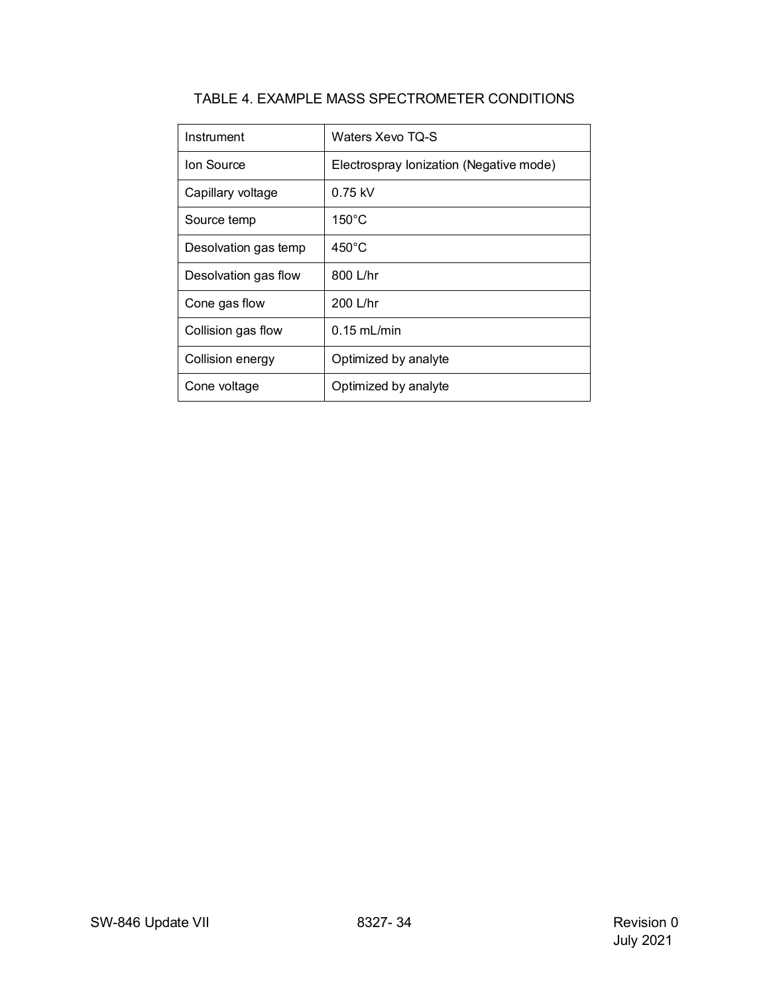<span id="page-33-0"></span>

| Instrument           | Waters Xevo TQ-S                        |
|----------------------|-----------------------------------------|
| Ion Source           | Electrospray lonization (Negative mode) |
| Capillary voltage    | $0.75$ kV                               |
| Source temp          | $150^{\circ}$ C                         |
| Desolvation gas temp | $450^{\circ}$ C                         |
| Desolvation gas flow | 800 L/hr                                |
| Cone gas flow        | $200$ L/hr                              |
| Collision gas flow   | $0.15$ mL/min                           |
| Collision energy     | Optimized by analyte                    |
| Cone voltage         | Optimized by analyte                    |

# TABLE 4. EXAMPLE MASS SPECTROMETER CONDITIONS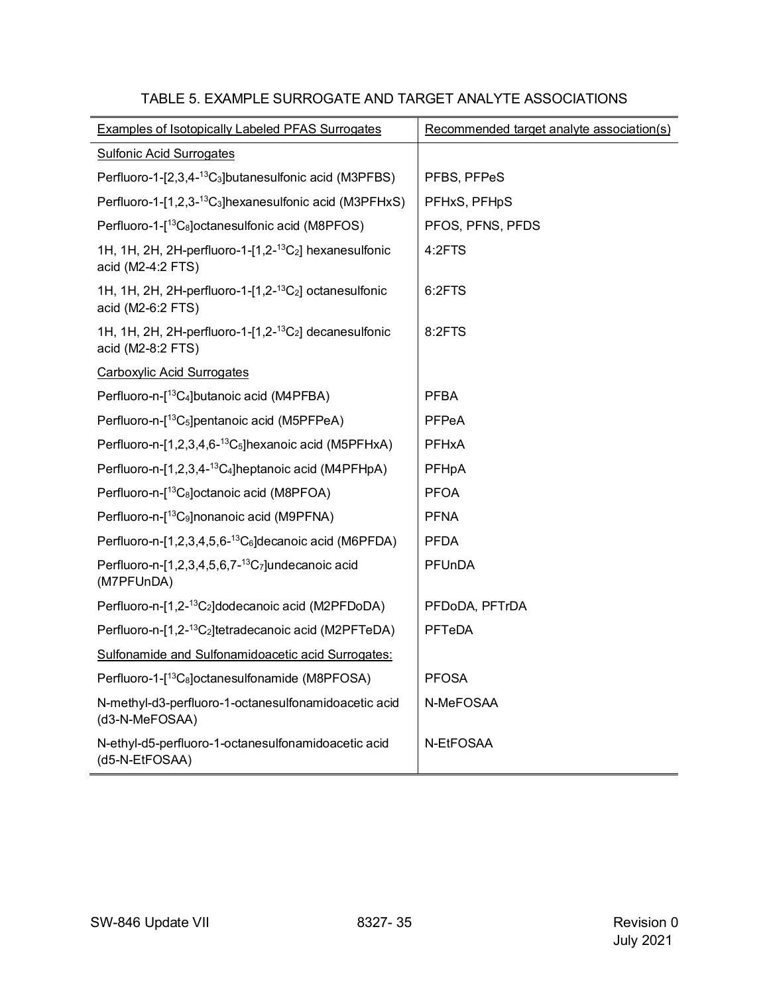<span id="page-34-0"></span>

| <b>Examples of Isotopically Labeled PFAS Surrogates</b>                                                 | Recommended target analyte association(s) |
|---------------------------------------------------------------------------------------------------------|-------------------------------------------|
| <b>Sulfonic Acid Surrogates</b>                                                                         |                                           |
| Perfluoro-1-[2,3,4- <sup>13</sup> C <sub>3</sub> ]butanesulfonic acid (M3PFBS)                          | PFBS, PFPeS                               |
| Perfluoro-1-[1,2,3- <sup>13</sup> C <sub>3</sub> ]hexanesulfonic acid (M3PFHxS)                         | PFHxS, PFHpS                              |
| Perfluoro-1-[ <sup>13</sup> C <sub>8</sub> ]octanesulfonic acid (M8PFOS)                                | PFOS, PFNS, PFDS                          |
| 1H, 1H, 2H, 2H-perfluoro-1- $[1,2$ - <sup>13</sup> C <sub>2</sub> ] hexanesulfonic<br>acid (M2-4:2 FTS) | 4:2FTS                                    |
| 1H, 1H, 2H, 2H-perfluoro-1- $[1,2^{-13}C_2]$ octanesulfonic<br>acid (M2-6:2 FTS)                        | 6:2FTS                                    |
| 1H, 1H, 2H, 2H-perfluoro-1- $[1,2$ - <sup>13</sup> C <sub>2</sub> ] decanesulfonic<br>acid (M2-8:2 FTS) | 8:2FTS                                    |
| <b>Carboxylic Acid Surrogates</b>                                                                       |                                           |
| Perfluoro-n-[ <sup>13</sup> C <sub>4</sub> ]butanoic acid (M4PFBA)                                      | <b>PFBA</b>                               |
| Perfluoro-n-[ <sup>13</sup> C <sub>5</sub> ]pentanoic acid (M5PFPeA)                                    | <b>PFPeA</b>                              |
| Perfluoro-n-[1,2,3,4,6-13C <sub>5</sub> ]hexanoic acid (M5PFHxA)                                        | <b>PFHxA</b>                              |
| Perfluoro-n-[1,2,3,4- <sup>13</sup> C <sub>4</sub> ]heptanoic acid (M4PFHpA)                            | PFHpA                                     |
| Perfluoro-n-[ <sup>13</sup> C <sub>8</sub> ]octanoic acid (M8PFOA)                                      | <b>PFOA</b>                               |
| Perfluoro-n-[ <sup>13</sup> C <sub>9</sub> ]nonanoic acid (M9PFNA)                                      | <b>PFNA</b>                               |
| Perfluoro-n-[1,2,3,4,5,6- <sup>13</sup> C <sub>6</sub> ] decanoic acid (M6PFDA)                         | <b>PFDA</b>                               |
| Perfluoro-n-[1,2,3,4,5,6,7- $^{13}C7$ ]undecanoic acid<br>(M7PFUnDA)                                    | PFUnDA                                    |
| Perfluoro-n-[1,2- <sup>13</sup> C <sub>2</sub> ] dodecanoic acid (M2PFDoDA)                             | PFDoDA, PFTrDA                            |
| Perfluoro-n-[1,2- <sup>13</sup> C <sub>2</sub> ]tetradecanoic acid (M2PFTeDA)                           | PFTeDA                                    |
| Sulfonamide and Sulfonamidoacetic acid Surrogates:                                                      |                                           |
| Perfluoro-1-[ <sup>13</sup> C <sub>8</sub> ]octanesulfonamide (M8PFOSA)                                 | <b>PFOSA</b>                              |
| N-methyl-d3-perfluoro-1-octanesulfonamidoacetic acid<br>(d3-N-MeFOSAA)                                  | N-MeFOSAA                                 |
| N-ethyl-d5-perfluoro-1-octanesulfonamidoacetic acid<br>(d5-N-EtFOSAA)                                   | N-EtFOSAA                                 |

## TABLE 5. EXAMPLE SURROGATE AND TARGET ANALYTE ASSOCIATIONS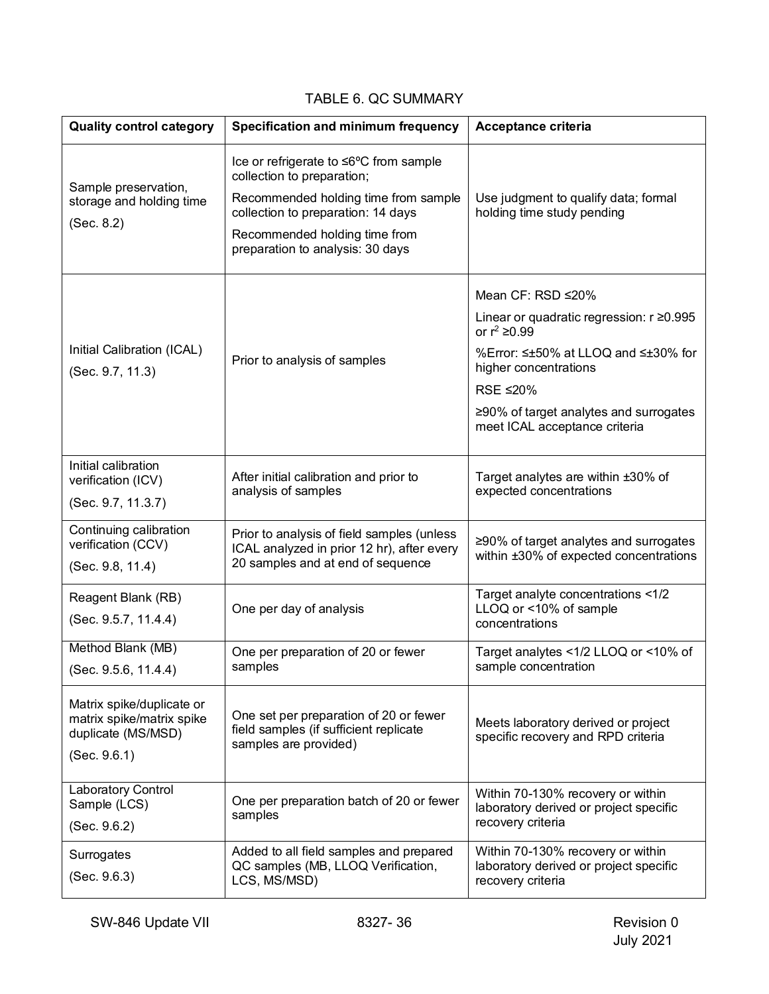# TABLE 6. QC SUMMARY

<span id="page-35-0"></span>

| <b>Quality control category</b>                                                              | Specification and minimum frequency                                                                       | Acceptance criteria                                                                              |  |
|----------------------------------------------------------------------------------------------|-----------------------------------------------------------------------------------------------------------|--------------------------------------------------------------------------------------------------|--|
| Sample preservation,                                                                         | Ice or refrigerate to ≤6°C from sample<br>collection to preparation;                                      |                                                                                                  |  |
| storage and holding time                                                                     | Recommended holding time from sample<br>collection to preparation: 14 days                                | Use judgment to qualify data; formal<br>holding time study pending                               |  |
| (Sec. 8.2)                                                                                   | Recommended holding time from<br>preparation to analysis: 30 days                                         |                                                                                                  |  |
|                                                                                              |                                                                                                           | Mean CF: RSD ≤20%                                                                                |  |
|                                                                                              |                                                                                                           | Linear or quadratic regression: r ≥0.995<br>or $r^2$ ≥0.99                                       |  |
| Initial Calibration (ICAL)<br>(Sec. 9.7, 11.3)                                               | Prior to analysis of samples                                                                              | %Error: ≤±50% at LLOQ and ≤±30% for<br>higher concentrations                                     |  |
|                                                                                              |                                                                                                           | RSE ≤20%                                                                                         |  |
|                                                                                              |                                                                                                           | ≥90% of target analytes and surrogates<br>meet ICAL acceptance criteria                          |  |
| Initial calibration                                                                          |                                                                                                           |                                                                                                  |  |
| verification (ICV)                                                                           | After initial calibration and prior to<br>analysis of samples                                             | Target analytes are within ±30% of<br>expected concentrations                                    |  |
| (Sec. 9.7, 11.3.7)                                                                           |                                                                                                           |                                                                                                  |  |
| Continuing calibration<br>verification (CCV)                                                 | Prior to analysis of field samples (unless                                                                | ≥90% of target analytes and surrogates                                                           |  |
| (Sec. 9.8, 11.4)                                                                             | ICAL analyzed in prior 12 hr), after every<br>20 samples and at end of sequence                           | within ±30% of expected concentrations                                                           |  |
| Reagent Blank (RB)                                                                           | One per day of analysis                                                                                   | Target analyte concentrations <1/2                                                               |  |
| (Sec. 9.5.7, 11.4.4)                                                                         |                                                                                                           | LLOQ or <10% of sample<br>concentrations                                                         |  |
| Method Blank (MB)                                                                            | One per preparation of 20 or fewer                                                                        | Target analytes <1/2 LLOQ or <10% of                                                             |  |
| (Sec. 9.5.6, 11.4.4)                                                                         | samples                                                                                                   | sample concentration                                                                             |  |
| Matrix spike/duplicate or<br>matrix spike/matrix spike<br>duplicate (MS/MSD)<br>(Sec. 9.6.1) | One set per preparation of 20 or fewer<br>field samples (if sufficient replicate<br>samples are provided) | Meets laboratory derived or project<br>specific recovery and RPD criteria                        |  |
| Laboratory Control<br>Sample (LCS)<br>(Sec. 9.6.2)                                           | One per preparation batch of 20 or fewer<br>samples                                                       | Within 70-130% recovery or within<br>laboratory derived or project specific<br>recovery criteria |  |
| Surrogates<br>(Sec. 9.6.3)                                                                   | Added to all field samples and prepared<br>QC samples (MB, LLOQ Verification,<br>LCS, MS/MSD)             | Within 70-130% recovery or within<br>laboratory derived or project specific<br>recovery criteria |  |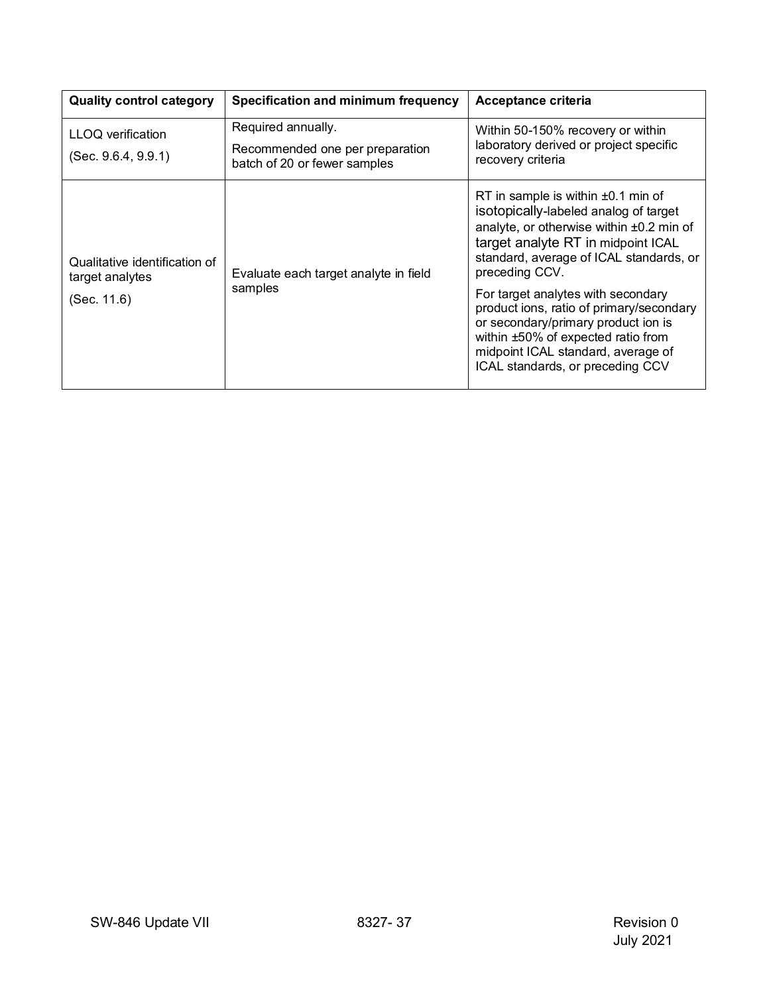| <b>Quality control category</b>                                 | Specification and minimum frequency                                                   | Acceptance criteria                                                                                                                                                                                                                                                                                                                                                                                                                                                      |
|-----------------------------------------------------------------|---------------------------------------------------------------------------------------|--------------------------------------------------------------------------------------------------------------------------------------------------------------------------------------------------------------------------------------------------------------------------------------------------------------------------------------------------------------------------------------------------------------------------------------------------------------------------|
| LLOQ verification<br>(Sec. 9.6.4, 9.9.1)                        | Required annually.<br>Recommended one per preparation<br>batch of 20 or fewer samples | Within 50-150% recovery or within<br>laboratory derived or project specific<br>recovery criteria                                                                                                                                                                                                                                                                                                                                                                         |
| Qualitative identification of<br>target analytes<br>(Sec. 11.6) | Evaluate each target analyte in field<br>samples                                      | RT in sample is within $\pm 0.1$ min of<br>isotopically-labeled analog of target<br>analyte, or otherwise within ±0.2 min of<br>target analyte RT in midpoint ICAL<br>standard, average of ICAL standards, or<br>preceding CCV.<br>For target analytes with secondary<br>product ions, ratio of primary/secondary<br>or secondary/primary product ion is<br>within ±50% of expected ratio from<br>midpoint ICAL standard, average of<br>ICAL standards, or preceding CCV |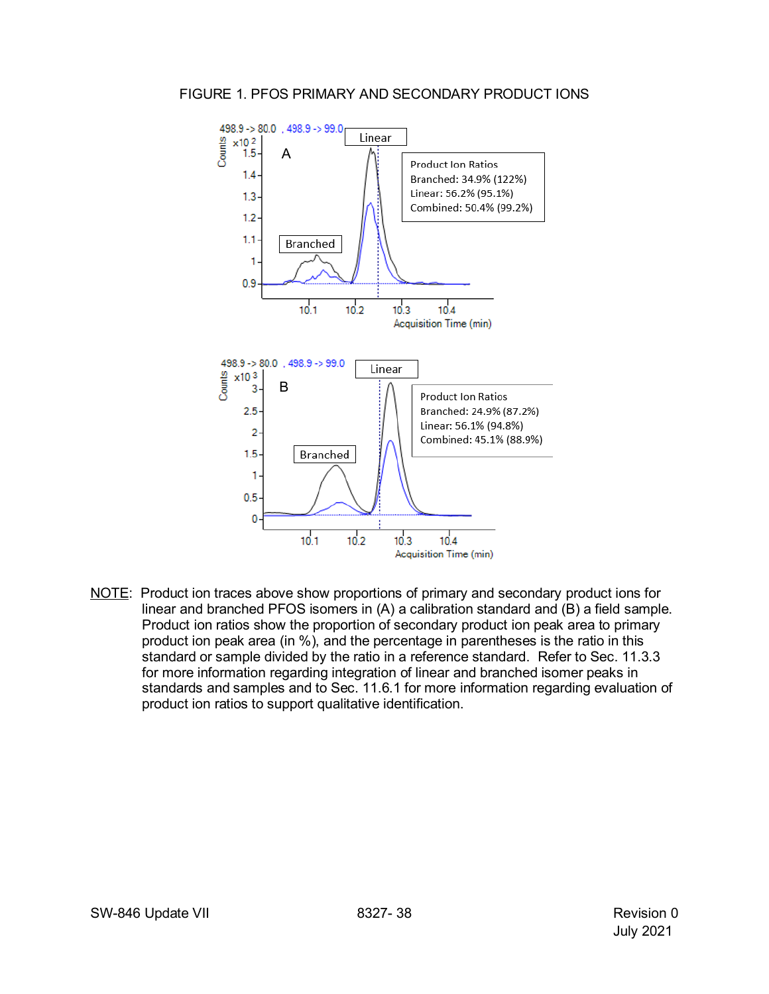#### <span id="page-37-0"></span>FIGURE 1. PFOS PRIMARY AND SECONDARY PRODUCT IONS



NOTE: Product ion traces above show proportions of primary and secondary product ions for linear and branched PFOS isomers in (A) a calibration standard and (B) a field sample. Product ion ratios show the proportion of secondary product ion peak area to primary product ion peak area (in %), and the percentage in parentheses is the ratio in this standard or sample divided by the ratio in a reference standard. Refer to Sec. 11.3.3 for more information regarding integration of linear and branched isomer peaks in standards and samples and to Sec. 11.6.1 for more information regarding evaluation of product ion ratios to support qualitative identification.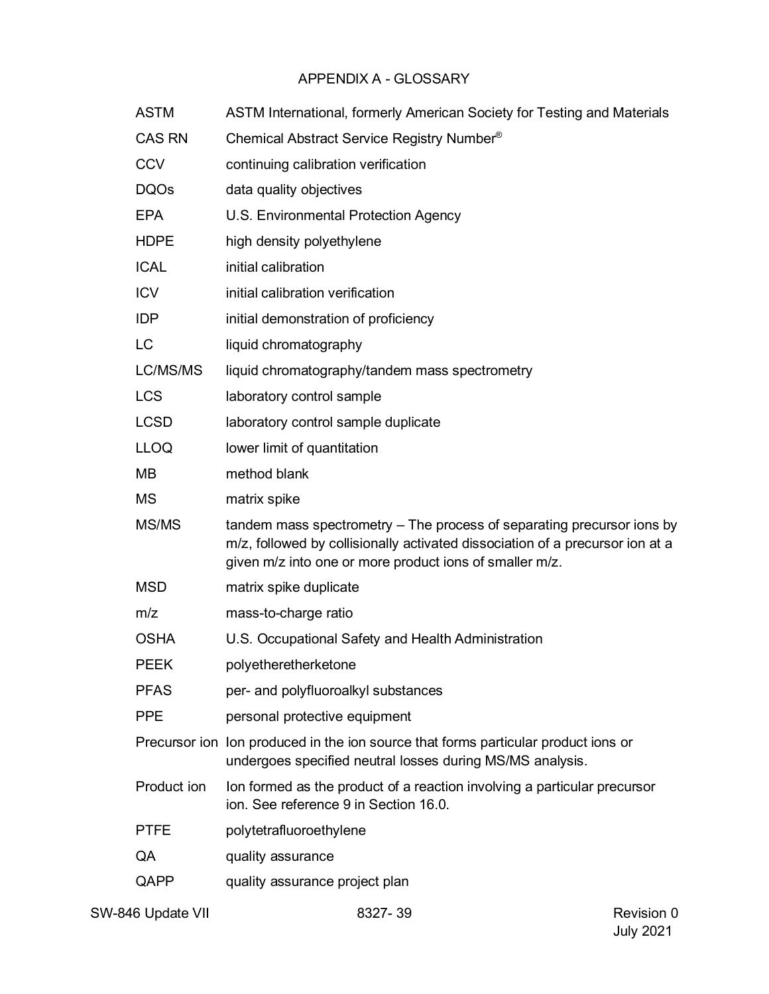# APPENDIX A - GLOSSARY

<span id="page-38-0"></span>

| <b>ASTM</b>   | ASTM International, formerly American Society for Testing and Materials                                                                                                                                            |
|---------------|--------------------------------------------------------------------------------------------------------------------------------------------------------------------------------------------------------------------|
| <b>CAS RN</b> | Chemical Abstract Service Registry Number <sup>®</sup>                                                                                                                                                             |
| <b>CCV</b>    | continuing calibration verification                                                                                                                                                                                |
| <b>DQOs</b>   | data quality objectives                                                                                                                                                                                            |
| <b>EPA</b>    | U.S. Environmental Protection Agency                                                                                                                                                                               |
| <b>HDPE</b>   | high density polyethylene                                                                                                                                                                                          |
| <b>ICAL</b>   | initial calibration                                                                                                                                                                                                |
| <b>ICV</b>    | initial calibration verification                                                                                                                                                                                   |
| <b>IDP</b>    | initial demonstration of proficiency                                                                                                                                                                               |
| <b>LC</b>     | liquid chromatography                                                                                                                                                                                              |
| LC/MS/MS      | liquid chromatography/tandem mass spectrometry                                                                                                                                                                     |
| <b>LCS</b>    | laboratory control sample                                                                                                                                                                                          |
| <b>LCSD</b>   | laboratory control sample duplicate                                                                                                                                                                                |
| <b>LLOQ</b>   | lower limit of quantitation                                                                                                                                                                                        |
| MВ            | method blank                                                                                                                                                                                                       |
| <b>MS</b>     | matrix spike                                                                                                                                                                                                       |
| MS/MS         | tandem mass spectrometry – The process of separating precursor ions by<br>m/z, followed by collisionally activated dissociation of a precursor ion at a<br>given m/z into one or more product ions of smaller m/z. |
| <b>MSD</b>    | matrix spike duplicate                                                                                                                                                                                             |
| m/z           | mass-to-charge ratio                                                                                                                                                                                               |
| <b>OSHA</b>   | U.S. Occupational Safety and Health Administration                                                                                                                                                                 |
| <b>PEEK</b>   | polyetheretherketone                                                                                                                                                                                               |
| <b>PFAS</b>   | per- and polyfluoroalkyl substances                                                                                                                                                                                |
| <b>PPE</b>    | personal protective equipment                                                                                                                                                                                      |
|               | Precursor ion lon produced in the ion source that forms particular product ions or<br>undergoes specified neutral losses during MS/MS analysis.                                                                    |
| Product ion   | Ion formed as the product of a reaction involving a particular precursor<br>ion. See reference 9 in Section 16.0.                                                                                                  |
| <b>PTFE</b>   | polytetrafluoroethylene                                                                                                                                                                                            |
| QA            | quality assurance                                                                                                                                                                                                  |
| QAPP          | quality assurance project plan                                                                                                                                                                                     |
|               |                                                                                                                                                                                                                    |